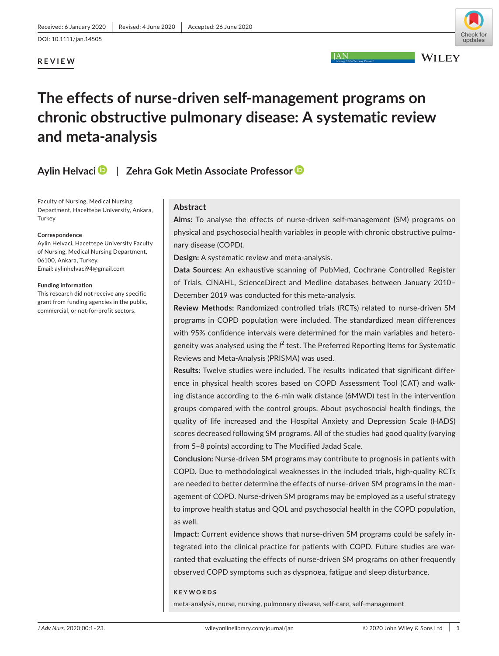# **REVIEW**



**JAN** 

**WILEY** 

# **The effects of nurse-driven self-management programs on chronic obstructive pulmonary disease: A systematic review and meta-analysis**

# **Aylin Helvaci** | **Zehra Gok Metin Associate Professo[r](https://orcid.org/0000-0003-0311-9982)**

Faculty of Nursing, Medical Nursing Department, Hacettepe University, Ankara, **Turkey** 

#### **Correspondence**

Aylin Helvaci, Hacettepe University Faculty of Nursing, Medical Nursing Department, 06100, Ankara, Turkey. Email: [aylinhelvaci94@gmail.com](mailto:aylinhelvaci94@gmail.com)

#### **Funding information**

This research did not receive any specific grant from funding agencies in the public, commercial, or not-for-profit sectors.

# **Abstract**

**Aims:** To analyse the effects of nurse-driven self-management (SM) programs on physical and psychosocial health variables in people with chronic obstructive pulmonary disease (COPD).

**Design:** A systematic review and meta-analysis.

**Data Sources:** An exhaustive scanning of PubMed, Cochrane Controlled Register of Trials, CINAHL, ScienceDirect and Medline databases between January 2010– December 2019 was conducted for this meta-analysis.

**Review Methods:** Randomized controlled trials (RCTs) related to nurse-driven SM programs in COPD population were included. The standardized mean differences with 95% confidence intervals were determined for the main variables and heterogeneity was analysed using the *l<sup>2</sup> test. The Preferred Reporting Items for Systematic* Reviews and Meta-Analysis (PRISMA) was used.

**Results:** Twelve studies were included. The results indicated that significant difference in physical health scores based on COPD Assessment Tool (CAT) and walking distance according to the 6-min walk distance (6MWD) test in the intervention groups compared with the control groups. About psychosocial health findings, the quality of life increased and the Hospital Anxiety and Depression Scale (HADS) scores decreased following SM programs. All of the studies had good quality (varying from 5–8 points) according to The Modified Jadad Scale.

**Conclusion:** Nurse-driven SM programs may contribute to prognosis in patients with COPD. Due to methodological weaknesses in the included trials, high-quality RCTs are needed to better determine the effects of nurse-driven SM programs in the management of COPD. Nurse-driven SM programs may be employed as a useful strategy to improve health status and QOL and psychosocial health in the COPD population, as well.

**Impact:** Current evidence shows that nurse-driven SM programs could be safely integrated into the clinical practice for patients with COPD. Future studies are warranted that evaluating the effects of nurse-driven SM programs on other frequently observed COPD symptoms such as dyspnoea, fatigue and sleep disturbance.

**KEYWORDS** meta-analysis, nurse, nursing, pulmonary disease, self-care, self-management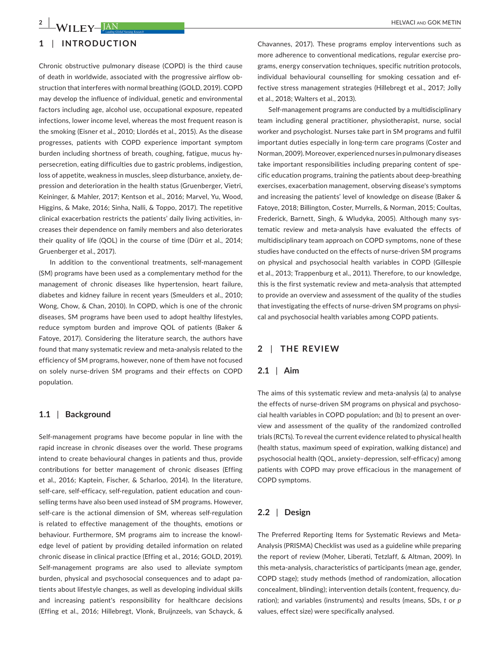# **1** | **INTRODUCTION**

Chronic obstructive pulmonary disease (COPD) is the third cause of death in worldwide, associated with the progressive airflow obstruction that interferes with normal breathing (GOLD, 2019). COPD may develop the influence of individual, genetic and environmental factors including age, alcohol use, occupational exposure, repeated infections, lower income level, whereas the most frequent reason is the smoking (Eisner et al., 2010; Llordés et al., 2015). As the disease progresses, patients with COPD experience important symptom burden including shortness of breath, coughing, fatigue, mucus hypersecretion, eating difficulties due to gastric problems, indigestion, loss of appetite, weakness in muscles, sleep disturbance, anxiety, depression and deterioration in the health status (Gruenberger, Vietri, Keininger, & Mahler, 2017; Kentson et al., 2016; Marvel, Yu, Wood, Higgins, & Make, 2016; Sinha, Nalli, & Toppo, 2017). The repetitive clinical exacerbation restricts the patients' daily living activities, increases their dependence on family members and also deteriorates their quality of life (QOL) in the course of time (Dürr et al., 2014; Gruenberger et al., 2017).

In addition to the conventional treatments, self-management (SM) programs have been used as a complementary method for the management of chronic diseases like hypertension, heart failure, diabetes and kidney failure in recent years (Smeulders et al., 2010; Wong, Chow, & Chan, 2010). In COPD, which is one of the chronic diseases, SM programs have been used to adopt healthy lifestyles, reduce symptom burden and improve QOL of patients (Baker & Fatoye, 2017). Considering the literature search, the authors have found that many systematic review and meta-analysis related to the efficiency of SM programs, however, none of them have not focused on solely nurse-driven SM programs and their effects on COPD population.

#### **1.1** | **Background**

Self-management programs have become popular in line with the rapid increase in chronic diseases over the world. These programs intend to create behavioural changes in patients and thus, provide contributions for better management of chronic diseases (Effing et al., 2016; Kaptein, Fischer, & Scharloo, 2014). In the literature, self-care, self-efficacy, self-regulation, patient education and counselling terms have also been used instead of SM programs. However, self-care is the actional dimension of SM, whereas self-regulation is related to effective management of the thoughts, emotions or behaviour. Furthermore, SM programs aim to increase the knowledge level of patient by providing detailed information on related chronic disease in clinical practice (Effing et al., 2016; GOLD, 2019). Self-management programs are also used to alleviate symptom burden, physical and psychosocial consequences and to adapt patients about lifestyle changes, as well as developing individual skills and increasing patient's responsibility for healthcare decisions (Effing et al., 2016; Hillebregt, Vlonk, Bruijnzeels, van Schayck, &

Chavannes, 2017). These programs employ interventions such as more adherence to conventional medications, regular exercise programs, energy conservation techniques, specific nutrition protocols, individual behavioural counselling for smoking cessation and effective stress management strategies (Hillebregt et al., 2017; Jolly et al., 2018; Walters et al., 2013).

Self-management programs are conducted by a multidisciplinary team including general practitioner, physiotherapist, nurse, social worker and psychologist. Nurses take part in SM programs and fulfil important duties especially in long-term care programs (Coster and Norman, 2009). Moreover, experienced nurses in pulmonary diseases take important responsibilities including preparing content of specific education programs, training the patients about deep-breathing exercises, exacerbation management, observing disease's symptoms and increasing the patients' level of knowledge on disease (Baker & Fatoye, 2018; Billington, Coster, Murrells, & Norman, 2015; Coultas, Frederick, Barnett, Singh, & Wludyka, 2005). Although many systematic review and meta-analysis have evaluated the effects of multidisciplinary team approach on COPD symptoms, none of these studies have conducted on the effects of nurse-driven SM programs on physical and psychosocial health variables in COPD (Gillespie et al., 2013; Trappenburg et al., 2011). Therefore, to our knowledge, this is the first systematic review and meta-analysis that attempted to provide an overview and assessment of the quality of the studies that investigating the effects of nurse-driven SM programs on physical and psychosocial health variables among COPD patients.

# **2** | **THE REVIEW**

#### **2.1** | **Aim**

The aims of this systematic review and meta-analysis (a) to analyse the effects of nurse-driven SM programs on physical and psychosocial health variables in COPD population; and (b) to present an overview and assessment of the quality of the randomized controlled trials (RCTs). To reveal the current evidence related to physical health (health status, maximum speed of expiration, walking distance) and psychosocial health (QOL, anxiety–depression, self-efficacy) among patients with COPD may prove efficacious in the management of COPD symptoms.

# **2.2** | **Design**

The Preferred Reporting Items for Systematic Reviews and Meta-Analysis (PRISMA) Checklist was used as a guideline while preparing the report of review (Moher, Liberati, Tetzlaff, & Altman, 2009). In this meta-analysis, characteristics of participants (mean age, gender, COPD stage); study methods (method of randomization, allocation concealment, blinding); intervention details (content, frequency, duration); and variables (instruments) and results (means, SDs, *t* or *p* values, effect size) were specifically analysed.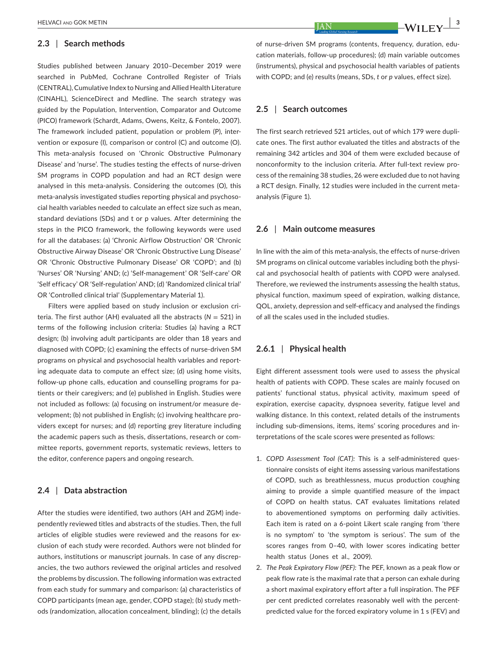#### **2.3** | **Search methods**

Studies published between January 2010–December 2019 were searched in PubMed, Cochrane Controlled Register of Trials (CENTRAL), Cumulative Index to Nursing and Allied Health Literature (CINAHL), ScienceDirect and Medline. The search strategy was guided by the Population, Intervention, Comparator and Outcome (PICO) framework (Schardt, Adams, Owens, Keitz, & Fontelo, 2007). The framework included patient, population or problem (P), intervention or exposure (I), comparison or control (C) and outcome (O). This meta-analysis focused on 'Chronic Obstructive Pulmonary Disease' and 'nurse'. The studies testing the effects of nurse-driven SM programs in COPD population and had an RCT design were analysed in this meta-analysis. Considering the outcomes (O), this meta-analysis investigated studies reporting physical and psychosocial health variables needed to calculate an effect size such as mean, standard deviations (SDs) and t or p values. After determining the steps in the PICO framework, the following keywords were used for all the databases: (a) 'Chronic Airflow Obstruction' OR 'Chronic Obstructive Airway Disease' OR 'Chronic Obstructive Lung Disease' OR 'Chronic Obstructive Pulmonary Disease' OR 'COPD'; and (b) 'Nurses' OR 'Nursing' AND; (c) 'Self-management' OR 'Self-care' OR 'Self efficacy' OR 'Self-regulation' AND; (d) 'Randomized clinical trial' OR 'Controlled clinical trial' (Supplementary Material 1).

Filters were applied based on study inclusion or exclusion criteria. The first author (AH) evaluated all the abstracts ( $N = 521$ ) in terms of the following inclusion criteria: Studies (a) having a RCT design; (b) involving adult participants are older than 18 years and diagnosed with COPD; (c) examining the effects of nurse-driven SM programs on physical and psychosocial health variables and reporting adequate data to compute an effect size; (d) using home visits, follow-up phone calls, education and counselling programs for patients or their caregivers; and (e) published in English. Studies were not included as follows: (a) focusing on instrument/or measure development; (b) not published in English; (c) involving healthcare providers except for nurses; and (d) reporting grey literature including the academic papers such as thesis, dissertations, research or committee reports, government reports, systematic reviews, letters to the editor, conference papers and ongoing research.

# **2.4** | **Data abstraction**

After the studies were identified, two authors (AH and ZGM) independently reviewed titles and abstracts of the studies. Then, the full articles of eligible studies were reviewed and the reasons for exclusion of each study were recorded. Authors were not blinded for authors, institutions or manuscript journals. In case of any discrepancies, the two authors reviewed the original articles and resolved the problems by discussion. The following information was extracted from each study for summary and comparison: (a) characteristics of COPD participants (mean age, gender, COPD stage); (b) study methods (randomization, allocation concealment, blinding); (c) the details of nurse-driven SM programs (contents, frequency, duration, education materials, follow-up procedures); (d) main variable outcomes (instruments), physical and psychosocial health variables of patients with COPD; and (e) results (means, SDs, *t* or *p* values, effect size).

#### **2.5** | **Search outcomes**

The first search retrieved 521 articles, out of which 179 were duplicate ones. The first author evaluated the titles and abstracts of the remaining 342 articles and 304 of them were excluded because of nonconformity to the inclusion criteria. After full-text review process of the remaining 38 studies, 26 were excluded due to not having a RCT design. Finally, 12 studies were included in the current metaanalysis (Figure 1).

#### **2.6** | **Main outcome measures**

In line with the aim of this meta-analysis, the effects of nurse-driven SM programs on clinical outcome variables including both the physical and psychosocial health of patients with COPD were analysed. Therefore, we reviewed the instruments assessing the health status, physical function, maximum speed of expiration, walking distance, QOL, anxiety, depression and self-efficacy and analysed the findings of all the scales used in the included studies.

# **2.6.1** | **Physical health**

Eight different assessment tools were used to assess the physical health of patients with COPD. These scales are mainly focused on patients' functional status, physical activity, maximum speed of expiration, exercise capacity, dyspnoea severity, fatigue level and walking distance. In this context, related details of the instruments including sub-dimensions, items, items' scoring procedures and interpretations of the scale scores were presented as follows:

- 1. *COPD Assessment Tool (CAT):* This is a self-administered questionnaire consists of eight items assessing various manifestations of COPD, such as breathlessness, mucus production coughing aiming to provide a simple quantified measure of the impact of COPD on health status. CAT evaluates limitations related to abovementioned symptoms on performing daily activities. Each item is rated on a 6-point Likert scale ranging from 'there is no symptom' to 'the symptom is serious'. The sum of the scores ranges from 0–40, with lower scores indicating better health status (Jones et al., 2009).
- 2. *The Peak Expiratory Flow (PEF):* The PEF, known as a peak flow or peak flow rate is the maximal rate that a person can exhale during a short maximal expiratory effort after a full inspiration. The PEF per cent predicted correlates reasonably well with the percentpredicted value for the forced expiratory volume in 1 s (FEV) and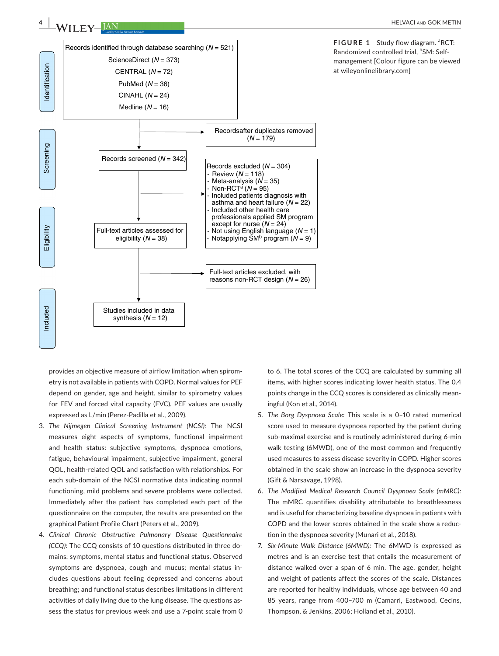

FIGURE 1 Study flow diagram. <sup>a</sup>RCT: Randomized controlled trial, <sup>b</sup>SM: Selfmanagement [Colour figure can be viewed at [wileyonlinelibrary.com\]](www.wileyonlinelibrary.com)

provides an objective measure of airflow limitation when spirometry is not available in patients with COPD. Normal values for PEF depend on gender, age and height, similar to spirometry values for FEV and forced vital capacity (FVC). PEF values are usually expressed as L/min (Perez-Padilla et al., 2009).

- 3. *The Nijmegen Clinical Screening Instrument (NCSI):* The NCSI measures eight aspects of symptoms, functional impairment and health status: subjective symptoms, dyspnoea emotions, fatigue, behavioural impairment, subjective impairment, general QOL, health-related QOL and satisfaction with relationships. For each sub-domain of the NCSI normative data indicating normal functioning, mild problems and severe problems were collected. Immediately after the patient has completed each part of the questionnaire on the computer, the results are presented on the graphical Patient Profile Chart (Peters et al., 2009).
- 4. *Clinical Chronic Obstructive Pulmonary Disease Questionnaire (CCQ):* The CCQ consists of 10 questions distributed in three domains: symptoms, mental status and functional status. Observed symptoms are dyspnoea, cough and mucus; mental status includes questions about feeling depressed and concerns about breathing; and functional status describes limitations in different activities of daily living due to the lung disease. The questions assess the status for previous week and use a 7-point scale from 0

to 6. The total scores of the CCQ are calculated by summing all items, with higher scores indicating lower health status. The 0.4 points change in the CCQ scores is considered as clinically meaningful (Kon et al., 2014).

- 5. *The Borg Dyspnoea Scale:* This scale is a 0–10 rated numerical score used to measure dyspnoea reported by the patient during sub-maximal exercise and is routinely administered during 6-min walk testing (6MWD), one of the most common and frequently used measures to assess disease severity in COPD. Higher scores obtained in the scale show an increase in the dyspnoea severity (Gift & Narsavage, 1998).
- 6. *The Modified Medical Research Council Dyspnoea Scale (mMRC):* The mMRC quantifies disability attributable to breathlessness and is useful for characterizing baseline dyspnoea in patients with COPD and the lower scores obtained in the scale show a reduction in the dyspnoea severity (Munari et al., 2018).
- 7. *Six-Minute Walk Distance (6MWD):* The 6MWD is expressed as metres and is an exercise test that entails the measurement of distance walked over a span of 6 min. The age, gender, height and weight of patients affect the scores of the scale. Distances are reported for healthy individuals, whose age between 40 and 85 years, range from 400–700 m (Camarri, Eastwood, Cecins, Thompson, & Jenkins, 2006; Holland et al., 2010).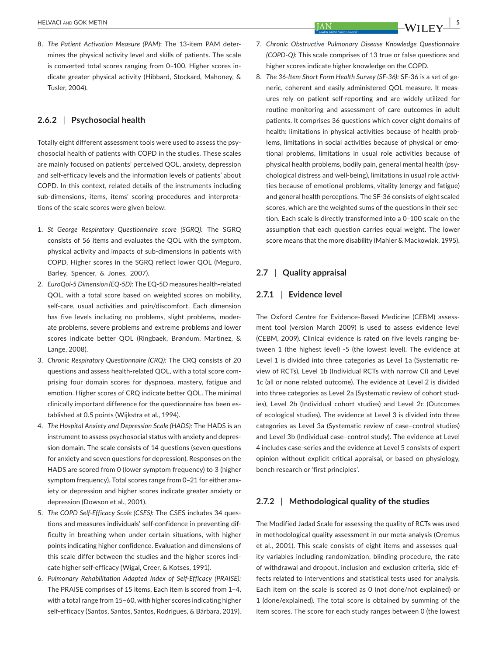8. *The Patient Activation Measure (PAM*): The 13-item PAM determines the physical activity level and skills of patients. The scale is converted total scores ranging from 0–100. Higher scores indicate greater physical activity (Hibbard, Stockard, Mahoney, & Tusler, 2004).

#### **2.6.2** | **Psychosocial health**

Totally eight different assessment tools were used to assess the psychosocial health of patients with COPD in the studies. These scales are mainly focused on patients' perceived QOL, anxiety, depression and self-efficacy levels and the information levels of patients' about COPD. In this context, related details of the instruments including sub-dimensions, items, items' scoring procedures and interpretations of the scale scores were given below:

- 1. *St George Respiratory Questionnaire score (SGRQ):* The SGRQ consists of 56 items and evaluates the QOL with the symptom, physical activity and impacts of sub-dimensions in patients with COPD. Higher scores in the SGRQ reflect lower QOL (Meguro, Barley, Spencer, & Jones, 2007).
- 2. *EuroQol-5 Dimension (EQ-5D):* The EQ-5D measures health-related QOL, with a total score based on weighted scores on mobility, self-care, usual activities and pain/discomfort. Each dimension has five levels including no problems, slight problems, moderate problems, severe problems and extreme problems and lower scores indicate better QOL (Ringbaek, Brøndum, Martinez, & Lange, 2008).
- 3. *Chronic Respiratory Questionnaire (CRQ):* The CRQ consists of 20 questions and assess health-related QOL, with a total score comprising four domain scores for dyspnoea, mastery, fatigue and emotion. Higher scores of CRQ indicate better QOL. The minimal clinically important difference for the questionnaire has been established at 0.5 points (Wijkstra et al., 1994).
- 4. *The Hospital Anxiety and Depression Scale (HADS):* The HADS is an instrument to assess psychosocial status with anxiety and depression domain. The scale consists of 14 questions (seven questions for anxiety and seven questions for depression). Responses on the HADS are scored from 0 (lower symptom frequency) to 3 (higher symptom frequency). Total scores range from 0–21 for either anxiety or depression and higher scores indicate greater anxiety or depression (Dowson et al., 2001).
- 5. *The COPD Self-Efficacy Scale (CSES):* The CSES includes 34 questions and measures individuals' self-confidence in preventing difficulty in breathing when under certain situations, with higher points indicating higher confidence. Evaluation and dimensions of this scale differ between the studies and the higher scores indicate higher self-efficacy (Wigal, Creer, & Kotses, 1991).
- 6. *Pulmonary Rehabilitation Adapted Index of Self-Efficacy (PRAISE):* The PRAISE comprises of 15 items. Each item is scored from 1–4, with a total range from 15–60, with higher scores indicating higher self-efficacy (Santos, Santos, Santos, Rodrigues, & Bárbara, 2019).
- 7. *Chronic Obstructive Pulmonary Disease Knowledge Questionnaire (COPD-Q):* This scale comprises of 13 true or false questions and higher scores indicate higher knowledge on the COPD.
- 8. *The 36-Item Short Form Health Survey (SF-36):* SF-36 is a set of generic, coherent and easily administered QOL measure. It measures rely on patient self-reporting and are widely utilized for routine monitoring and assessment of care outcomes in adult patients. It comprises 36 questions which cover eight domains of health: limitations in physical activities because of health problems, limitations in social activities because of physical or emotional problems, limitations in usual role activities because of physical health problems, bodily pain, general mental health (psychological distress and well-being), limitations in usual role activities because of emotional problems, vitality (energy and fatigue) and general health perceptions. The SF-36 consists of eight scaled scores, which are the weighted sums of the questions in their section. Each scale is directly transformed into a 0–100 scale on the assumption that each question carries equal weight. The lower score means that the more disability (Mahler & Mackowiak, 1995).

# **2.7** | **Quality appraisal**

#### **2.7.1** | **Evidence level**

The Oxford Centre for Evidence-Based Medicine (CEBM) assessment tool (version March 2009) is used to assess evidence level (CEBM, 2009). Clinical evidence is rated on five levels ranging between 1 (the highest level) -5 (the lowest level). The evidence at Level 1 is divided into three categories as Level 1a (Systematic review of RCTs), Level 1b (Individual RCTs with narrow CI) and Level 1c (all or none related outcome). The evidence at Level 2 is divided into three categories as Level 2a (Systematic review of cohort studies), Level 2b (Individual cohort studies) and Level 2c (Outcomes of ecological studies). The evidence at Level 3 is divided into three categories as Level 3a (Systematic review of case–control studies) and Level 3b (Individual case–control study). The evidence at Level 4 includes case-series and the evidence at Level 5 consists of expert opinion without explicit critical appraisal, or based on physiology, bench research or 'first principles'.

# **2.7.2** | **Methodological quality of the studies**

The Modified Jadad Scale for assessing the quality of RCTs was used in methodological quality assessment in our meta-analysis (Oremus et al., 2001). This scale consists of eight items and assesses quality variables including randomization, blinding procedure, the rate of withdrawal and dropout, inclusion and exclusion criteria, side effects related to interventions and statistical tests used for analysis. Each item on the scale is scored as 0 (not done/not explained) or 1 (done/explained). The total score is obtained by summing of the item scores. The score for each study ranges between 0 (the lowest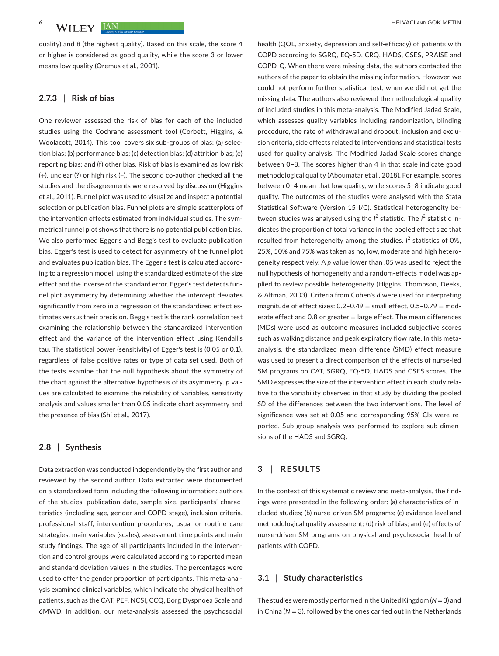quality) and 8 (the highest quality). Based on this scale, the score 4 or higher is considered as good quality, while the score 3 or lower means low quality (Oremus et al., 2001).

# **2.7.3** | **Risk of bias**

One reviewer assessed the risk of bias for each of the included studies using the Cochrane assessment tool (Corbett, Higgins, & Woolacott, 2014). This tool covers six sub-groups of bias: (a) selection bias; (b) performance bias; (c) detection bias; (d) attrition bias; (e) reporting bias; and (f) other bias. Risk of bias is examined as low risk (+), unclear (?) or high risk (−). The second co-author checked all the studies and the disagreements were resolved by discussion (Higgins et al., 2011). Funnel plot was used to visualize and inspect a potential selection or publication bias. Funnel plots are simple scatterplots of the intervention effects estimated from individual studies. The symmetrical funnel plot shows that there is no potential publication bias. We also performed Egger's and Begg's test to evaluate publication bias. Egger's test is used to detect for asymmetry of the funnel plot and evaluates publication bias. The Egger's test is calculated according to a regression model, using the standardized estimate of the size effect and the inverse of the standard error. Egger's test detects funnel plot asymmetry by determining whether the intercept deviates significantly from zero in a regression of the standardized effect estimates versus their precision. Begg's test is the rank correlation test examining the relationship between the standardized intervention effect and the variance of the intervention effect using Kendall's tau. The statistical power (sensitivity) of Egger's test is (0.05 or 0.1), regardless of false positive rates or type of data set used. Both of the tests examine that the null hypothesis about the symmetry of the chart against the alternative hypothesis of its asymmetry. *p* values are calculated to examine the reliability of variables, sensitivity analysis and values smaller than 0.05 indicate chart asymmetry and the presence of bias (Shi et al., 2017).

# **2.8** | **Synthesis**

Data extraction was conducted independently by the first author and reviewed by the second author. Data extracted were documented on a standardized form including the following information: authors of the studies, publication date, sample size, participants' characteristics (including age, gender and COPD stage), inclusion criteria, professional staff, intervention procedures, usual or routine care strategies, main variables (scales), assessment time points and main study findings. The age of all participants included in the intervention and control groups were calculated according to reported mean and standard deviation values in the studies. The percentages were used to offer the gender proportion of participants. This meta-analysis examined clinical variables, which indicate the physical health of patients, such as the CAT, PEF, NCSI, CCQ, Borg Dyspnoea Scale and 6MWD. In addition, our meta-analysis assessed the psychosocial

health (QOL, anxiety, depression and self-efficacy) of patients with COPD according to SGRQ, EQ-5D, CRQ, HADS, CSES, PRAISE and COPD-Q. When there were missing data, the authors contacted the authors of the paper to obtain the missing information. However, we could not perform further statistical test, when we did not get the missing data. The authors also reviewed the methodological quality of included studies in this meta-analysis. The Modified Jadad Scale, which assesses quality variables including randomization, blinding procedure, the rate of withdrawal and dropout, inclusion and exclusion criteria, side effects related to interventions and statistical tests used for quality analysis. The Modified Jadad Scale scores change between 0–8. The scores higher than 4 in that scale indicate good methodological quality (Aboumatar et al., 2018). For example, scores between 0–4 mean that low quality, while scores 5–8 indicate good quality. The outcomes of the studies were analysed with the Stata Statistical Software (Version 15 I/C). Statistical heterogeneity between studies was analysed using the *I*<sup>2</sup> statistic. The *I*<sup>2</sup> statistic indicates the proportion of total variance in the pooled effect size that resulted from heterogeneity among the studies.  $l^2$  statistics of 0%, 25%, 50% and 75% was taken as no, low, moderate and high heterogeneity respectively. A *p* value lower than .05 was used to reject the null hypothesis of homogeneity and a random-effects model was applied to review possible heterogeneity (Higgins, Thompson, Deeks, & Altman, 2003). Criteria from Cohen's *d* were used for interpreting magnitude of effect sizes:  $0.2-0.49$  = small effect,  $0.5-0.79$  = moderate effect and 0.8 or greater  $=$  large effect. The mean differences (MDs) were used as outcome measures included subjective scores such as walking distance and peak expiratory flow rate. In this metaanalysis, the standardized mean difference (SMD) effect measure was used to present a direct comparison of the effects of nurse-led SM programs on CAT, SGRQ, EQ-5D, HADS and CSES scores. The SMD expresses the size of the intervention effect in each study relative to the variability observed in that study by dividing the pooled *SD* of the differences between the two interventions. The level of significance was set at 0.05 and corresponding 95% CIs were reported. Sub-group analysis was performed to explore sub-dimensions of the HADS and SGRQ.

# **3** | **RESULTS**

In the context of this systematic review and meta-analysis, the findings were presented in the following order: (a) characteristics of included studies; (b) nurse-driven SM programs; (c) evidence level and methodological quality assessment; (d) risk of bias; and (e) effects of nurse-driven SM programs on physical and psychosocial health of patients with COPD.

# **3.1** | **Study characteristics**

The studies were mostly performed in the United Kingdom (*N* =3) and in China ( $N = 3$ ), followed by the ones carried out in the Netherlands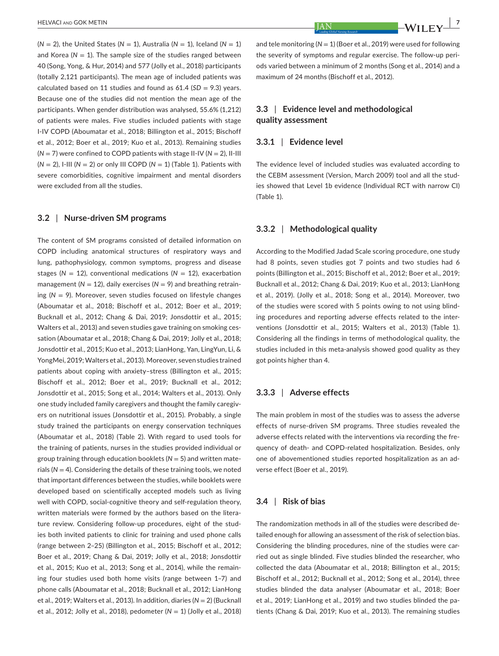$(N = 2)$ , the United States  $(N = 1)$ , Australia  $(N = 1)$ , Iceland  $(N = 1)$ and Korea ( $N = 1$ ). The sample size of the studies ranged between 40 (Song, Yong, & Hur, 2014) and 577 (Jolly et al., 2018) participants (totally 2,121 participants). The mean age of included patients was calculated based on 11 studies and found as  $61.4$  ( $SD = 9.3$ ) years. Because one of the studies did not mention the mean age of the participants. When gender distribution was analysed, 55.6% (1,212) of patients were males. Five studies included patients with stage I-IV COPD (Aboumatar et al., 2018; Billington et al., 2015; Bischoff et al., 2012; Boer et al., 2019; Kuo et al., 2013). Remaining studies  $(N = 7)$  were confined to COPD patients with stage II-IV  $(N = 2)$ , II-III (*N* = 2), I-III (*N* = 2) or only III COPD (*N* = 1) (Table 1). Patients with severe comorbidities, cognitive impairment and mental disorders were excluded from all the studies.

#### **3.2** | **Nurse-driven SM programs**

The content of SM programs consisted of detailed information on COPD including anatomical structures of respiratory ways and lung, pathophysiology, common symptoms, progress and disease stages ( $N = 12$ ), conventional medications ( $N = 12$ ), exacerbation management ( $N = 12$ ), daily exercises ( $N = 9$ ) and breathing retraining (*N* = 9). Moreover, seven studies focused on lifestyle changes (Aboumatar et al., 2018; Bischoff et al., 2012; Boer et al., 2019; Bucknall et al., 2012; Chang & Dai, 2019; Jonsdottir et al., 2015; Walters et al., 2013) and seven studies gave training on smoking cessation (Aboumatar et al., 2018; Chang & Dai, 2019; Jolly et al., 2018; Jonsdottir et al., 2015; Kuo et al., 2013; LianHong, Yan, LingYun, Li, & YongMei, 2019; Walters et al., 2013). Moreover, seven studies trained patients about coping with anxiety–stress (Billington et al., 2015; Bischoff et al., 2012; Boer et al., 2019; Bucknall et al., 2012; Jonsdottir et al., 2015; Song et al., 2014; Walters et al., 2013). Only one study included family caregivers and thought the family caregivers on nutritional issues (Jonsdottir et al., 2015). Probably, a single study trained the participants on energy conservation techniques (Aboumatar et al., 2018) (Table 2). With regard to used tools for the training of patients, nurses in the studies provided individual or group training through education booklets (*N* = 5) and written materials (*N* = 4). Considering the details of these training tools, we noted that important differences between the studies, while booklets were developed based on scientifically accepted models such as living well with COPD, social-cognitive theory and self-regulation theory, written materials were formed by the authors based on the literature review. Considering follow-up procedures, eight of the studies both invited patients to clinic for training and used phone calls (range between 2–25) (Billington et al., 2015; Bischoff et al., 2012; Boer et al., 2019; Chang & Dai, 2019; Jolly et al., 2018; Jonsdottir et al., 2015; Kuo et al., 2013; Song et al., 2014), while the remaining four studies used both home visits (range between 1–7) and phone calls (Aboumatar et al., 2018; Bucknall et al., 2012; LianHong et al., 2019; Walters et al., 2013). In addition, diaries (*N* = 2) (Bucknall et al., 2012; Jolly et al., 2018), pedometer (*N* = 1) (Jolly et al., 2018)

and tele monitoring  $(N = 1)$  (Boer et al., 2019) were used for following the severity of symptoms and regular exercise. The follow-up periods varied between a minimum of 2 months (Song et al., 2014) and a maximum of 24 months (Bischoff et al., 2012).

# **3.3** | **Evidence level and methodological quality assessment**

#### **3.3.1** | **Evidence level**

The evidence level of included studies was evaluated according to the CEBM assessment (Version, March 2009) tool and all the studies showed that Level 1b evidence (Individual RCT with narrow CI) (Table 1).

#### **3.3.2** | **Methodological quality**

According to the Modified Jadad Scale scoring procedure, one study had 8 points, seven studies got 7 points and two studies had 6 points (Billington et al., 2015; Bischoff et al., 2012; Boer et al., 2019; Bucknall et al., 2012; Chang & Dai, 2019; Kuo et al., 2013; LianHong et al., 2019). (Jolly et al., 2018; Song et al., 2014). Moreover, two of the studies were scored with 5 points owing to not using blinding procedures and reporting adverse effects related to the interventions (Jonsdottir et al., 2015; Walters et al., 2013) (Table 1). Considering all the findings in terms of methodological quality, the studies included in this meta-analysis showed good quality as they got points higher than 4.

#### **3.3.3** | **Adverse effects**

The main problem in most of the studies was to assess the adverse effects of nurse-driven SM programs. Three studies revealed the adverse effects related with the interventions via recording the frequency of death- and COPD-related hospitalization. Besides, only one of abovementioned studies reported hospitalization as an adverse effect (Boer et al., 2019).

#### **3.4** | **Risk of bias**

The randomization methods in all of the studies were described detailed enough for allowing an assessment of the risk of selection bias. Considering the blinding procedures, nine of the studies were carried out as single blinded. Five studies blinded the researcher, who collected the data (Aboumatar et al., 2018; Billington et al., 2015; Bischoff et al., 2012; Bucknall et al., 2012; Song et al., 2014), three studies blinded the data analyser (Aboumatar et al., 2018; Boer et al., 2019; LianHong et al., 2019) and two studies blinded the patients (Chang & Dai, 2019; Kuo et al., 2013). The remaining studies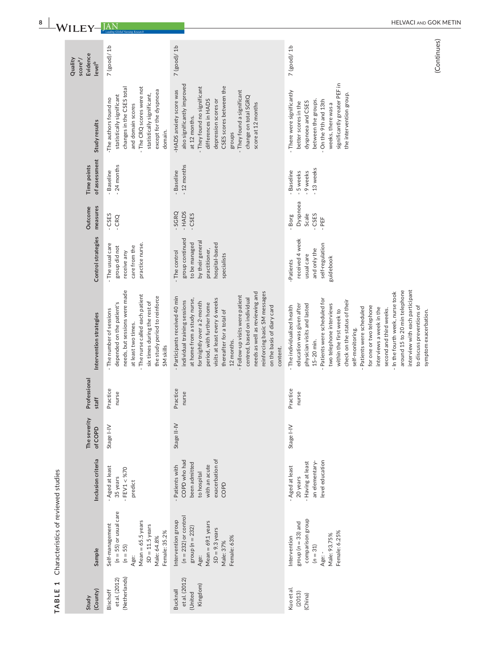| (County)<br>Study                                       | Sample                                                                                                                                             | Inclusion criteria                                                                                        | The severity<br>of COPD | Professional<br>staff | Intervention strategies                                                                                                                                                                                                                                                                                                                                                                                                                                                                                                        | Control strategies                                                                                                    | measures<br>Outcome                            | of assessment<br>Time points                          | Study results                                                                                                                                                                                                                                                      | Evidence<br>Quality<br>score <sup>a</sup> /<br>level <sup>b</sup> |
|---------------------------------------------------------|----------------------------------------------------------------------------------------------------------------------------------------------------|-----------------------------------------------------------------------------------------------------------|-------------------------|-----------------------|--------------------------------------------------------------------------------------------------------------------------------------------------------------------------------------------------------------------------------------------------------------------------------------------------------------------------------------------------------------------------------------------------------------------------------------------------------------------------------------------------------------------------------|-----------------------------------------------------------------------------------------------------------------------|------------------------------------------------|-------------------------------------------------------|--------------------------------------------------------------------------------------------------------------------------------------------------------------------------------------------------------------------------------------------------------------------|-------------------------------------------------------------------|
| (Netherlands)<br>et al. (2012)<br>Bischoff              | $(n = 55)$ or usual care<br>$Mean = 65.5 years$<br>Self-management<br>$SD = 11.5$ years<br>Female: 35.2%<br>Male: 64.8%<br>$(n = 55)$<br>Age:      | - Aged at least<br>$-$ FEV1 < %70<br>35 years<br>predict                                                  | Stage I-IV              | Practice<br>nurse     | needs, but sessions were made<br>The nurse called each patient<br>the study period to reinforce<br>six times during the rest of<br>depended on the patient's<br>- The number of sessions<br>at least two times.<br>SM <sub>skills</sub>                                                                                                                                                                                                                                                                                        | practice nurse.<br>- The usual care<br>care from the<br>group did not<br>receive any                                  | - CSES<br>$-CRQ$                               | -24 months<br>Baseline                                | The CRQ scores were not<br>changes in the CSES total<br>except for the dyspnoea<br>statistically significant,<br>statistically significant<br>The authors found no<br>and domain scores<br>domain.                                                                 | 7(good)/1b                                                        |
| et al. (2012)<br>Kingdom)<br><b>Bucknall</b><br>(United | $(n = 232)$ or control<br>Intervention group<br>$Mean = 69.1 years$<br>group ( $n = 232$ )<br>$SD = 9.3$ years<br>Female: 63%<br>Male: 37%<br>Age: | exacerbation of<br>COPD who had<br>been admitted<br>with an acute<br>Patients with<br>to hospital<br>COPD | Stage II-IV             | Practice<br>nurse     | reinforcing basic SM messages<br>needs as well as reviewing and<br>Follow-up visits were patient<br>Participants received 40 min<br>centred, based on individual<br>visits at least every 6 weeks<br>at home from a study nurse,<br>individual training sessions<br>fortnightly over a 2-month<br>period, with further home<br>on the basis of diary card<br>thereafter for a total of<br>12 months.<br>content.                                                                                                               | group continued<br>by their general<br>hospital-based<br>to be managed<br>practitioner,<br>The control<br>specialists | - SGRQ<br>- HADS<br>- CSES                     | $-12$ months<br>- Baseline                            | also significantly improved<br>CSES scores between the<br>They found no significant<br>-HADS anxiety score was<br>They found a significant<br>change on total SGRQ<br>depression scores or<br>differences in HADS<br>score at 12 months<br>at 12 months.<br>groups | $7$ (good)/1b                                                     |
| Kuo et al.<br>(2013)<br>(China)                         | comparison group<br>group ( $n = 33$ ) and<br>Female: 6.25%<br>Male: 93.75%<br>Intervention<br>$(n = 31)$<br>Age: -                                | level education<br>- Having at least<br>an elementary-<br>- Aged at least<br>20 years                     | Stage I-IV              | Practice<br>nurse     | interview with each participant<br>around 15 to 20 min telephone<br>- In the fourth week, nurse took<br>Patients were scheduled for<br>check on the status of their<br>two telephone interviews<br>physician visits and lasted<br>education was given after<br>- The individualized health<br>for one or two telephone<br>to discuss preventions of<br>Patients were scheduled<br>interviews a week in the<br>second and third weeks.<br>within the first week to<br>symptom exacerbation.<br>self-monitoring.<br>$15-20$ min. | received 4 week<br>self-regulation<br>and only the<br>usual care<br>guidebook<br>-Patients                            | Dyspnoea<br>Scale<br>- CSES<br>Borg<br>$-$ PEF | -13 weeks<br><b>Baseline</b><br>- 5 weeks<br>-9 weeks | significantly greater PEF in<br>There were significantly<br>the intervention group.<br>between the groups.<br>On the 9th and 13th<br>dyspnoea and CSES<br>better scores in the<br>weeks, there was a                                                               | $7$ (good)/ 1b                                                    |

TABLE 1 Characteristics of reviewed studies **TABLE 1** Characteristics of reviewed studies

(Continues) (Continues)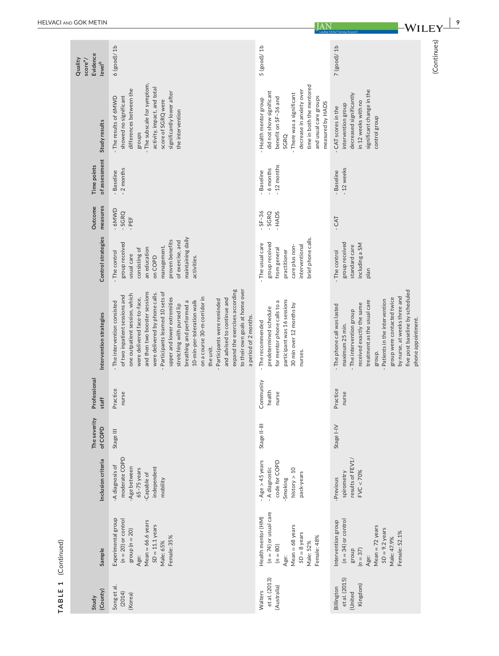|             | Evidence<br>Quality<br>score <sup>a</sup> /<br>level <sup>b</sup> | $6$ (good)/ $1b$                                                                                                                                                                                                                                                                                                                                                                                                                                                                                                                                                       | 5(good)/1b                                                                                                                                                                                                           | $7$ (good)/ $1b$                                                                                                                                                                                                                                                                                        | (Continues) |
|-------------|-------------------------------------------------------------------|------------------------------------------------------------------------------------------------------------------------------------------------------------------------------------------------------------------------------------------------------------------------------------------------------------------------------------------------------------------------------------------------------------------------------------------------------------------------------------------------------------------------------------------------------------------------|----------------------------------------------------------------------------------------------------------------------------------------------------------------------------------------------------------------------|---------------------------------------------------------------------------------------------------------------------------------------------------------------------------------------------------------------------------------------------------------------------------------------------------------|-------------|
|             | Study results                                                     | - The subscale for symptom,<br>activity, impact, and total<br>differences between the<br>significantly lower after<br>showed no significant<br>- The results of 6MWD<br>score of SGRQ were<br>the intervention<br>groups                                                                                                                                                                                                                                                                                                                                               | time in both the mentored<br>decrease in anxiety over<br>did not show significant<br>- There was a significant<br>and usual care groups<br>benefit on SF-36 and<br>- Health mentor group<br>measured by HADS<br>SGRQ | significant change in the<br>decreased significantly<br>in 12 weeks with no<br>intervention group<br>- CAT scores in the<br>control group                                                                                                                                                               |             |
|             | of assessment<br>Time points                                      | -2 months<br>- Baseline                                                                                                                                                                                                                                                                                                                                                                                                                                                                                                                                                | $-12$ months<br>-6 months<br>- Baseline                                                                                                                                                                              | -12 weeks<br>- Baseline                                                                                                                                                                                                                                                                                 |             |
|             | measures<br>Outcome                                               | UMMP-<br>$-SGRQ$<br>$-$ PEF                                                                                                                                                                                                                                                                                                                                                                                                                                                                                                                                            | $-5F-36$<br>$-$ SGRQ<br>- HADS                                                                                                                                                                                       | $-CAT$                                                                                                                                                                                                                                                                                                  |             |
|             | Control strategies                                                | maintaining daily<br>proven benefits<br>of exercise, and<br>group received<br>management,<br>an education<br>consisting of<br>The control<br>usual care<br>on COPD<br>activities.                                                                                                                                                                                                                                                                                                                                                                                      | brief phone calls.<br>group received<br>- The usual care<br>care plus non-<br>interventional<br>from general<br>practitioner                                                                                         | group received<br>including a SM<br>standard care<br>- The control<br>plan                                                                                                                                                                                                                              |             |
|             | Intervention strategies                                           | to their own goals at home over<br>expand the exercises according<br>and then two booster sessions<br>Participants learned 10 sets of<br>were delivered by phone calls.<br>one outpatient session, which<br>of two inpatient sessions and<br>upper and lower extremities<br>on a course 30-m corridor in<br>were delivered face-to-face,<br>and advised to continue and<br>- Participants were reminded<br>- The intervention consisted<br>breathing and performed a<br>10-min-per-toleration walk<br>stretching with pursed lip<br>a period of 2 months.<br>the unit. | participant was 16 sessions<br>for mentor phone calls to a<br>30 min over 12 months by<br>predetermined schedule<br>- The recommended<br>nurses.                                                                     | five post baseline by scheduled<br>by nurse, at weeks three and<br>group were contacted twice<br>Patients in the intervention<br>treatment as the usual care<br>received exactly the same<br>- The phone call was lasted<br>- The intervention group<br>phone appointment.<br>maximum 25 min.<br>group. |             |
|             | Professional<br>staff                                             | Practice<br>nurse                                                                                                                                                                                                                                                                                                                                                                                                                                                                                                                                                      | Community<br>health<br>nurse                                                                                                                                                                                         | Practice<br>nurse                                                                                                                                                                                                                                                                                       |             |
|             | The severity<br>of COPD                                           | Stage III                                                                                                                                                                                                                                                                                                                                                                                                                                                                                                                                                              | Stage II-III                                                                                                                                                                                                         | Stage I-IV                                                                                                                                                                                                                                                                                              |             |
|             | Inclusion criteria                                                | moderate COPD<br>A diagnosis of<br>independent<br>-Age between<br>65-75 years<br>Capable of<br>mobility                                                                                                                                                                                                                                                                                                                                                                                                                                                                | $-$ Age $>$ 45 years<br>code for COPD<br>- A diagnostic<br>history $> 10$<br>pack-years<br>Smoking                                                                                                                   | results of FEV1/<br>FVC < 70%<br>spirometry<br>-Previous                                                                                                                                                                                                                                                |             |
| (Continued) | Sample                                                            | Experimental group<br>$(n = 20)$ or control<br>Mean $= 66.6$ years<br>$SD = 11.1 \text{ years}$<br>group $(n = 20)$<br>Female: 35%<br>Male: 65%<br>Age:                                                                                                                                                                                                                                                                                                                                                                                                                | $(n = 74)$ or usual care<br>Health mentor (HM)<br>Mean = 68 years<br>$SD = 8$ years<br>Female: 48%<br>Male: 52%<br>$(n = 80)$<br>Age:                                                                                | $(n = 34)$ or control<br>Intervention group<br>Mean $= 72$ years<br>$SD = 9.2 \text{ years}$<br>Female: 52.1%<br>Male: 47.9%<br>$(n = 37)$<br>group<br>Age:                                                                                                                                             |             |
| TABLE 1     | (County)<br>Study                                                 | Song et al.<br>(2014)<br>(Korea)                                                                                                                                                                                                                                                                                                                                                                                                                                                                                                                                       | et al. (2013)<br>(Australia)<br>Walters                                                                                                                                                                              | et al. (2015)<br>Kingdom)<br>Billington<br>(United                                                                                                                                                                                                                                                      |             |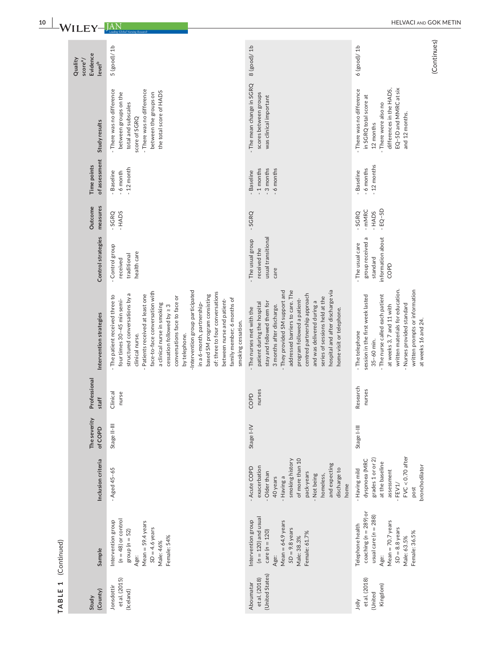| Evidence<br>Quality<br>score <sup>a</sup> / | 5(good)/1b<br>level <sup>b</sup>                                                                                                                                                                                                                                                                                                                                                                                                                                                                                                                   | 8(good)/1b                                                                                                                                                                                                                                                                                                                                                                              | $6$ (good)/ $1b$                                                                                                                                                                                                                                         |
|---------------------------------------------|----------------------------------------------------------------------------------------------------------------------------------------------------------------------------------------------------------------------------------------------------------------------------------------------------------------------------------------------------------------------------------------------------------------------------------------------------------------------------------------------------------------------------------------------------|-----------------------------------------------------------------------------------------------------------------------------------------------------------------------------------------------------------------------------------------------------------------------------------------------------------------------------------------------------------------------------------------|----------------------------------------------------------------------------------------------------------------------------------------------------------------------------------------------------------------------------------------------------------|
|                                             | - There was no difference<br>- There was no difference<br>the total score of HADS<br>between groups on the<br>between the groups on<br>total and subscales<br>score of SGRQ<br>Study results                                                                                                                                                                                                                                                                                                                                                       | - The mean change in SGRQ<br>scores between groups<br>was clinical important                                                                                                                                                                                                                                                                                                            | EQ-5D and MMRC at six<br>differences in the HADS,<br>There was no difference<br>in SGRQ total score at<br>There were also no<br>and 12 months.<br>12 months                                                                                              |
| Time points                                 | of assessment<br>$-12$ month<br>- Baseline<br>-6 month                                                                                                                                                                                                                                                                                                                                                                                                                                                                                             | -1 months<br>-3 months<br>- 6 months<br>- Baseline                                                                                                                                                                                                                                                                                                                                      | $-12$ months<br>-6 months<br>- Baseline                                                                                                                                                                                                                  |
| Outcome                                     | measures<br>- HADS<br>$-$ SGRQ                                                                                                                                                                                                                                                                                                                                                                                                                                                                                                                     | $-SGRQ$                                                                                                                                                                                                                                                                                                                                                                                 | $-EG-5D$<br>- mMRC<br>- HADS<br>- SGRQ                                                                                                                                                                                                                   |
|                                             | Control strategies<br>Control group<br>health care<br>traditional<br>received                                                                                                                                                                                                                                                                                                                                                                                                                                                                      | usual transitional<br>The usual group<br>received the<br>care                                                                                                                                                                                                                                                                                                                           | nformation about<br>group received a<br>The usual care<br>standard<br>COPD                                                                                                                                                                               |
|                                             | -Intervention group participated<br>face-to-face conversation with<br>of: three to four conversations<br>structured conversations by a<br>Patients received at least one<br>based SM program consisting<br>The patient received three to<br>conversations face to face or<br>family member; 6 months of<br>four times 30-45 min semi-<br>between nurse and patient-<br>a clinical nurse in smoking<br>in a 6-month, partnership-<br>cessation followed by ≥ 3<br>Intervention strategies<br>smoking cessation.<br>by telephone.<br>clinical nurse. | hospital and after discharge via<br>- They provided SM support and<br>addressed barriers to care. The<br>centred partnership approach<br>series of sessions held at the<br>program followed a patient-<br>and was delivered during a<br>stay and followed them for<br>patient during the hospital<br>3 months after discharge.<br>- The nurses met with the<br>home visit or telephone. | written materials for education.<br>written prompts or information<br>The nurse called each patient<br>session in the first week lasted<br>Nurses provided standard<br>at weeks 3, 7 and 11 with<br>at weeks 16 and 24.<br>- The telephone<br>35-60 min. |
| Professional                                | Clinical<br>nurse<br>staff                                                                                                                                                                                                                                                                                                                                                                                                                                                                                                                         | nurses<br>COPD                                                                                                                                                                                                                                                                                                                                                                          | Research<br>nurses                                                                                                                                                                                                                                       |
| The severity                                | Stage II-III<br>of COPD                                                                                                                                                                                                                                                                                                                                                                                                                                                                                                                            | Stage I-IV                                                                                                                                                                                                                                                                                                                                                                              | Stage I-III                                                                                                                                                                                                                                              |
|                                             | Inclusion criteria<br>$-A$ ged 45-65                                                                                                                                                                                                                                                                                                                                                                                                                                                                                                               | of more than 10<br>smoking history<br>and expecting<br>exacerbation<br>- Acute COPD<br>discharge to<br>- Older than<br>pack-years<br>- Not being<br>homeless,<br>- Having a<br>40 years<br>home                                                                                                                                                                                         | $FVC < 0.70$ after<br>grades 1 or or 2)<br>dyspnoea (MRC<br>at the baseline<br>bronchodilator<br>- Having mild<br>assessment<br>$-$ FEV1/<br>post                                                                                                        |
|                                             | $(n = 48)$ or control<br>Intervention group<br>Mean $=$ 59.4 years<br>$SD = 4.6 \text{ years}$<br>group ( $n = 52$ )<br>Female: 54%<br>Male: 46%<br>Sample<br>Age:                                                                                                                                                                                                                                                                                                                                                                                 | $(n = 120)$ and usual<br>Intervention group<br>Mean = $64.9$ years<br>$SD = 9.8$ years<br>$care (n = 120)$<br>Female: 61.7%<br>Male: 38.3%<br>Age:                                                                                                                                                                                                                                      | coaching $(n = 289)$ or<br>usual care ( $n = 288$ )<br>$Mean = 70.7 years$<br>Telephone health<br>$SD = 8.8$ years<br>Female: 36.5%<br>Male: 63.5%<br>Age:                                                                                               |
| Study                                       | et al. (2015)<br>Jonsdottir<br>(County)<br>(Iceland)                                                                                                                                                                                                                                                                                                                                                                                                                                                                                               | (United States)<br>et al. (2018)<br>Aboumatar                                                                                                                                                                                                                                                                                                                                           | et al. (2018)<br>Kingdom)<br>(United<br>yllo                                                                                                                                                                                                             |

TABLE 1 (Continued) **TABLE 1** (Continued)

(Continues) (Continues)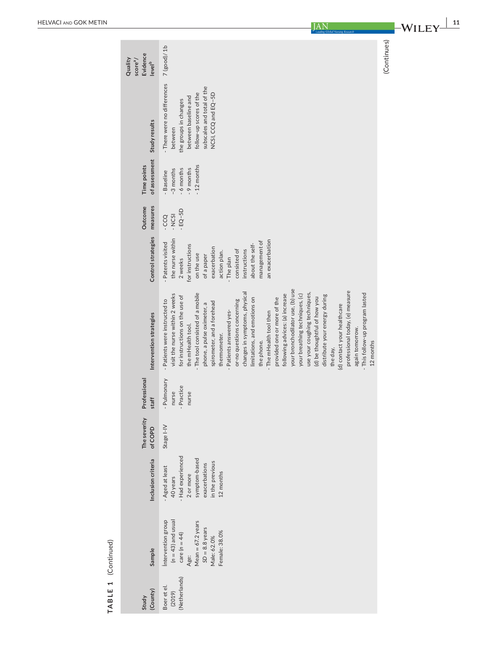| Evidence<br>Quality<br>score <sup>a</sup> /<br>level <sup>b</sup> | $7$ (good)/ $1b$                                                                                                                                                                                                                                                                                                                                                                                                                                                                                                                                                                                                                                                                                                                                                                                    |
|-------------------------------------------------------------------|-----------------------------------------------------------------------------------------------------------------------------------------------------------------------------------------------------------------------------------------------------------------------------------------------------------------------------------------------------------------------------------------------------------------------------------------------------------------------------------------------------------------------------------------------------------------------------------------------------------------------------------------------------------------------------------------------------------------------------------------------------------------------------------------------------|
| Study results                                                     | - There were no differences<br>subscales and total of the<br>follow-up scores of the<br>NCSI, CCQ and EQ-5D<br>between baseline and<br>the groups in changes<br>between                                                                                                                                                                                                                                                                                                                                                                                                                                                                                                                                                                                                                             |
| of assessment<br>Time points                                      | $-12$ months<br>6 months<br>- 9 months<br>-3 months<br><b>Baseline</b>                                                                                                                                                                                                                                                                                                                                                                                                                                                                                                                                                                                                                                                                                                                              |
| measures<br>Outcome                                               | $-EO-SD$<br>$-NCS1$<br>$-CCQ$                                                                                                                                                                                                                                                                                                                                                                                                                                                                                                                                                                                                                                                                                                                                                                       |
| Control strategies                                                | the nurse within<br>an exacerbation<br>management of<br>Patents visited<br>about the self-<br>for instructions<br>exacerbation<br>consisted of<br>instructions<br>action plan.<br>on the use<br>of a paper<br>- The plan<br>2 weeks                                                                                                                                                                                                                                                                                                                                                                                                                                                                                                                                                                 |
| Intervention strategies                                           | your bronchodilator use, (b) use<br>professional today, (e) measure<br>changes in symptoms, physical<br>use your coughing techniques,<br>- The tool consisted of a mobile<br>visit the nurse within 2 weeks<br>following advices: (a) increase<br>This follow-up program lasted<br>your breathing techniques, (c)<br>for instructions on the use of<br>distribute your energy during<br>(d) be thoughtful of how you<br>limitations, and emotions on<br>provided one or more of the<br>- Patients were instructed to<br>or-no questions concerning<br>spirometer, and a forehead<br>phone, a pulse oximeter, a<br>(d) contact your healthcare<br>- Patients answered yes-<br>- The mHealth tool then<br>the mHealth tool.<br>again tomorrow.<br>thermometer.<br>the phone.<br>12 months<br>the day, |
| Professional<br>staff                                             | Pulmonary<br>- Practice<br>nurse<br>nurse                                                                                                                                                                                                                                                                                                                                                                                                                                                                                                                                                                                                                                                                                                                                                           |
| The severity<br>of COPD                                           | Stage I-IV                                                                                                                                                                                                                                                                                                                                                                                                                                                                                                                                                                                                                                                                                                                                                                                          |
| Inclusion criteria                                                | - Had experienced<br>symptom-based<br>in the previous<br>exacerbations<br>Aged at least<br>12 months<br>2 or more<br>40 years                                                                                                                                                                                                                                                                                                                                                                                                                                                                                                                                                                                                                                                                       |
| Sample                                                            | intervention group<br>$(n = 43)$ and usual<br>Mean = $67.2$ years<br>$SD = 8.8$ years<br>Female: 38.0%<br>care $(n = 44)$<br>Male: 62.0%<br>Age:                                                                                                                                                                                                                                                                                                                                                                                                                                                                                                                                                                                                                                                    |
| (County)<br>Study                                                 | (Netherlands)<br>Boer et el.<br>(2019)                                                                                                                                                                                                                                                                                                                                                                                                                                                                                                                                                                                                                                                                                                                                                              |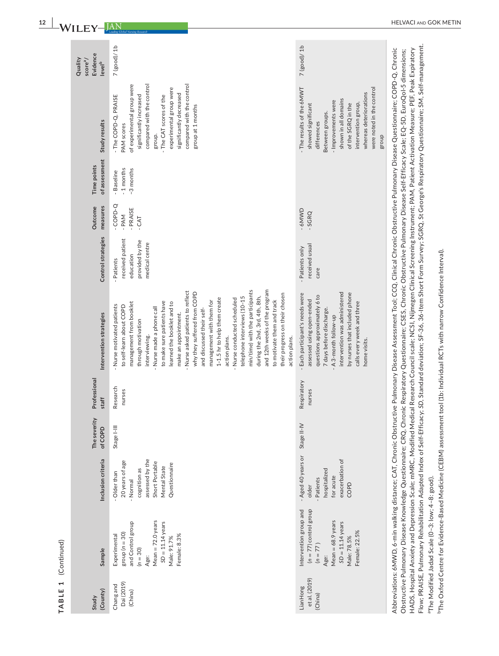|                                      |                                                                                                                                                           |                                                                                                                                 |                         |                       |                                                                                                                                                                                                                                                                                                                                                                                                                                                                                                                                                                                                                                                                                                                                     |                                                                                  |                                               |                                      |                                                                                                                                                                                                                                                                       | Quality                                                |
|--------------------------------------|-----------------------------------------------------------------------------------------------------------------------------------------------------------|---------------------------------------------------------------------------------------------------------------------------------|-------------------------|-----------------------|-------------------------------------------------------------------------------------------------------------------------------------------------------------------------------------------------------------------------------------------------------------------------------------------------------------------------------------------------------------------------------------------------------------------------------------------------------------------------------------------------------------------------------------------------------------------------------------------------------------------------------------------------------------------------------------------------------------------------------------|----------------------------------------------------------------------------------|-----------------------------------------------|--------------------------------------|-----------------------------------------------------------------------------------------------------------------------------------------------------------------------------------------------------------------------------------------------------------------------|--------------------------------------------------------|
| (County)<br>Study                    | Sample                                                                                                                                                    | Inclusion criteria                                                                                                              | The severity<br>of COPD | Professional<br>staff | Intervention strategies                                                                                                                                                                                                                                                                                                                                                                                                                                                                                                                                                                                                                                                                                                             | Control strategies                                                               | measures<br>Outcome                           | of assessment<br>Time points         | Study results                                                                                                                                                                                                                                                         | Evidence<br>score <sup>a</sup> /<br>level <sup>b</sup> |
| Dai (2019)<br>Chang and<br>(China)   | Mean $= 72.0$ years<br>$SD = 11.14$ years<br>and Control group<br>group ( $n = 30$ )<br>Female: 8.3%<br>Experimental<br>Male: 91.7%<br>$(n = 30)$<br>Age: | assessed by the<br>20 years of age<br>Short Portable<br>Questionnaire<br>Mental State<br>cognition as<br>Older than<br>- Normal | Stage I-III             | Research<br>nurses    | and 12th weeks of the program<br>min/time) with the participants<br>- Nurse asked patients to reflect<br>why they suffered from COPD<br>their progress on their chosen<br>during the 2nd, 3rd, 4th, 8th,<br>telephone interviews (10-15<br>1-1.5 hr to help them create<br>- Nurse conducted scheduled<br>to motivate them and track<br>management with them for<br>to make sure patients have<br>management from booklet<br>learned the booklet and to<br>- Nurse motivated patients<br>to self-learn about COPD<br>- Nurse made a phone call<br>and discussed their self-<br>make an appointment.<br>through motivation<br>interviewing.<br>action plans.<br>action plans.                                                        | received patient<br>provided by the<br>medical centre<br>education<br>- Patients | $-$ COPD $-Q$<br>PRAISE<br>$-PAM -$<br>$-CAT$ | -1 months<br>-3 months<br>- Baseline | compared with the control<br>compared with the control<br>of experimental group were<br>experimental group were<br>significantly decreased<br>significantly increased<br>- The COPD-Q, PRAISE<br>- The CAT scores of the<br>group at 1 months<br>PAM scores<br>group. | 7(good)/1b                                             |
| et al. (2019)<br>LianHong<br>(China) | $(n = 77)$ control group<br>Intervention group and<br>$Mean = 68.9 years$<br>$SD = 11.14$ years<br>Female: 22.5%<br>Male: 78.5%<br>$(n = 77)$<br>Age:     | - Aged 40 years or<br>exacerbation of<br>hospitalized<br>for acute<br>Patients<br>COPD<br>older                                 | Stage II-IV             | Respiratory<br>nurses | intervention was administered<br>by nurses that included phone<br>- Each participant's needs were<br>questions approximately 6 to<br>assessed using open-ended<br>calls every week and three<br>7 days before discharge.<br>- A 3-month follow-up<br>home visits.                                                                                                                                                                                                                                                                                                                                                                                                                                                                   | received usual<br>- Patients only<br>care                                        | -6MWD<br>$-SCRQ$                              |                                      | - The results of the 6MWT<br>were noted in the control<br>whereas deteriorations<br>shown in all domains<br>- Improvements were<br>intervention group,<br>of the SGRQ in the<br>showed significant<br>Between groups.<br>differences<br>dno.a                         | $7$ (good)/ $1b$                                       |
|                                      | Obstructive Pulmonary Disease Knowledge Questionnaire; CRQ, Chron                                                                                         |                                                                                                                                 |                         |                       | Flow; PRAISE, Pulmonary Rehabilitation Adapted Index of Self-Efficacy; SD, Standard deviation; SF-36, 36-Item Short Form Survey; SGRQ, St George's Respiratory Questionnaire; SM, Self-management.<br>Abbreviations: 6MWD, 6-min walking distance; CAT, Chronic Obstructive Pulmonary Disease Assessment Tool; CCQ, Clinical Chronic Obstructive Pulmonary Disease Questionnaire; COPD-Q, Chronic<br>HADS, Hospital Anxiety and Depression Scale; mMRC, Modified Medical Research Council scale; NCSI, Nijmegen Clinical Screening Instrument; PAM, Patient Activation Measure; PEF, Peak Expiratory<br>ic Respiratory Questionnaire; CSES, Chronic Obstructive Pulmonary Disease Self-Efficacy Scale; EQ-5D, EuroQol-5 dimensions; |                                                                                  |                                               |                                      |                                                                                                                                                                                                                                                                       |                                                        |

°The Modified Jadad Scale (0–3: Iow; 4–8: good).<br><sup>b</sup>The Oxford Centre for Evidence-Based Medicine (CEBM) assessment tool (1b: Individual RCTs with narrow Confidence Interval).  $\mathsf{Tr}_{\mathsf{The\mathsf{OX}}$  Centre for Evidence-Based Medicine (CEBM) assessment tool (1b: Individual RCTs with narrow Confidence Interval).

aThe Modified Jadad Scale (0–3: low; 4–8: good).

**TABLE 1** (Continued)

TABLE 1 (Continued)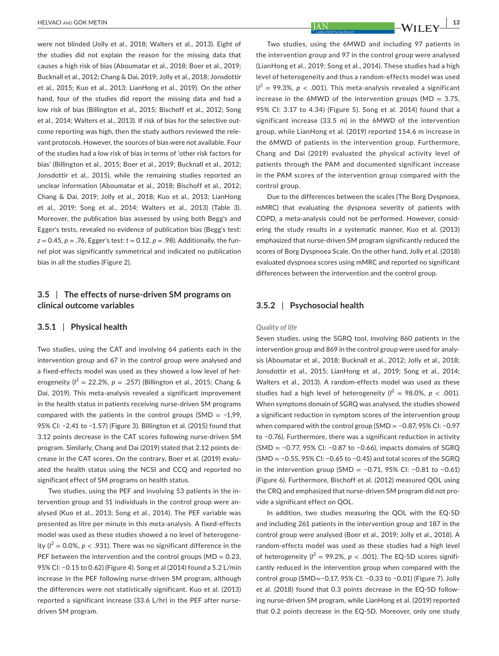were not blinded (Jolly et al., 2018; Walters et al., 2013). Eight of the studies did not explain the reason for the missing data that causes a high risk of bias (Aboumatar et al., 2018; Boer et al., 2019; Bucknall et al., 2012; Chang & Dai, 2019; Jolly et al., 2018; Jonsdottir et al., 2015; Kuo et al., 2013; LianHong et al., 2019). On the other hand, four of the studies did report the missing data and had a low risk of bias (Billington et al., 2015; Bischoff et al., 2012; Song et al., 2014; Walters et al., 2013). If risk of bias for the selective outcome reporting was high, then the study authors reviewed the relevant protocols. However, the sources of bias were not available. Four of the studies had a low risk of bias in terms of 'other risk factors for bias' (Billington et al., 2015; Boer et al., 2019; Bucknall et al., 2012; Jonsdottir et al., 2015), while the remaining studies reported an unclear information (Aboumatar et al., 2018; Bischoff et al., 2012; Chang & Dai, 2019; Jolly et al., 2018; Kuo et al., 2013; LianHong et al., 2019; Song et al., 2014; Walters et al., 2013) (Table 3). Moreover, the publication bias assessed by using both Begg's and Egger's tests, revealed no evidence of publication bias (Begg's test:  $z = 0.45$ ,  $p = .76$ , Egger's test:  $t = 0.12$ ,  $p = .98$ ). Additionally, the funnel plot was significantly symmetrical and indicated no publication bias in all the studies (Figure 2).

# **3.5** | **The effects of nurse-driven SM programs on clinical outcome variables**

#### **3.5.1** | **Physical health**

Two studies, using the CAT and involving 64 patients each in the intervention group and 67 in the control group were analysed and a fixed-effects model was used as they showed a low level of heterogeneity ( $l^2 = 22.2\%$ ,  $p = .257$ ) (Billington et al., 2015; Chang & Dai, 2019). This meta-analysis revealed a significant improvement in the health status in patients receiving nurse-driven SM programs compared with the patients in the control groups (SMD = −1,99, 95% CI: −2.41 to −1.57) (Figure 3). Billington et al. (2015) found that 3.12 points decrease in the CAT scores following nurse-driven SM program. Similarly, Chang and Dai (2019) stated that 2.12 points decrease in the CAT scores. On the contrary, Boer et al. (2019) evaluated the health status using the NCSI and CCQ and reported no significant effect of SM programs on health status.

Two studies, using the PEF and involving 53 patients in the intervention group and 51 individuals in the control group were analysed (Kuo et al., 2013; Song et al., 2014). The PEF variable was presented as litre per minute in this meta-analysis. A fixed-effects model was used as these studies showed a no level of heterogeneity ( $l^2 = 0.0\%$ ,  $p < .931$ ). There was no significant difference in the PEF between the intervention and the control groups ( $MD = 0.23$ , 95% CI: −0.15 to 0.62) (Figure 4). Song et al (2014) found a 5.2 L/min increase in the PEF following nurse-driven SM program, although the differences were not statistically significant. Kuo et al. (2013) reported a significant increase (33.6 L/hr) in the PEF after nursedriven SM program.

Two studies, using the 6MWD and including 97 patients in the intervention group and 97 in the control group were analysed (LianHong et al., 2019; Song et al., 2014). These studies had a high level of heterogeneity and thus a random-effects model was used  $(I^2 = 99.3\%$ ,  $p < .001$ ). This meta-analysis revealed a significant increase in the 6MWD of the intervention groups ( $MD = 3.75$ , 95% CI: 3.17 to 4.34) (Figure 5). Song et al. 2014) found that a significant increase (33.5 m) in the 6MWD of the intervention group, while LianHong et al. (2019) reported 154.6 m increase in the 6MWD of patients in the intervention group. Furthermore, Chang and Dai (2019) evaluated the physical activity level of patients through the PAM and documented significant increase in the PAM scores of the intervention group compared with the control group.

Due to the differences between the scales (The Borg Dyspnoea, mMRC) that evaluating the dyspnoea severity of patients with COPD, a meta-analysis could not be performed. However, considering the study results in a systematic manner, Kuo et al. (2013) emphasized that nurse-driven SM program significantly reduced the scores of Borg Dyspnoea Scale. On the other hand, Jolly et al. (2018) evaluated dyspnoea scores using mMRC and reported no significant differences between the intervention and the control group.

# **3.5.2** | **Psychosocial health**

#### *Quality of life*

Seven studies, using the SGRQ tool, involving 860 patients in the intervention group and 869 in the control group were used for analysis (Aboumatar et al., 2018; Bucknall et al., 2012; Jolly et al., 2018; Jonsdottir et al., 2015; LianHong et al., 2019; Song et al., 2014; Walters et al., 2013). A random-effects model was used as these studies had a high level of heterogeneity  $(l^2 = 98.0\%, p < .001)$ . When symptoms domain of SGRQ was analysed, the studies showed a significant reduction in symptom scores of the intervention group when compared with the control group (SMD = −0.87, 95% CI: −0.97 to −0.76). Furthermore, there was a significant reduction in activity (SMD = −0.77, 95% CI: −0.87 to −0.66), impacts domains of SGRQ (SMD = −0.55, 95% CI: −0.65 to −0.45) and total scores of the SGRQ in the intervention group (SMD = −0.71, 95% CI: −0.81 to −0.61) (Figure 6). Furthermore, Bischoff et al. (2012) measured QOL using the CRQ and emphasized that nurse-driven SM program did not provide a significant effect on QOL.

In addition, two studies measuring the QOL with the EQ-5D and including 261 patients in the intervention group and 187 in the control group were analysed (Boer et al., 2019; Jolly et al., 2018). A random-effects model was used as these studies had a high level of heterogeneity ( $l^2 = 99.2\%$ ,  $p < .001$ ). The EQ-5D scores significantly reduced in the intervention group when compared with the control group (SMD=−0.17, 95% CI: −0.33 to −0.01) (Figure 7). Jolly et al. (2018) found that 0.3 points decrease in the EQ-5D following nurse-driven SM program, while LianHong et al. (2019) reported that 0.2 points decrease in the EQ-5D. Moreover, only one study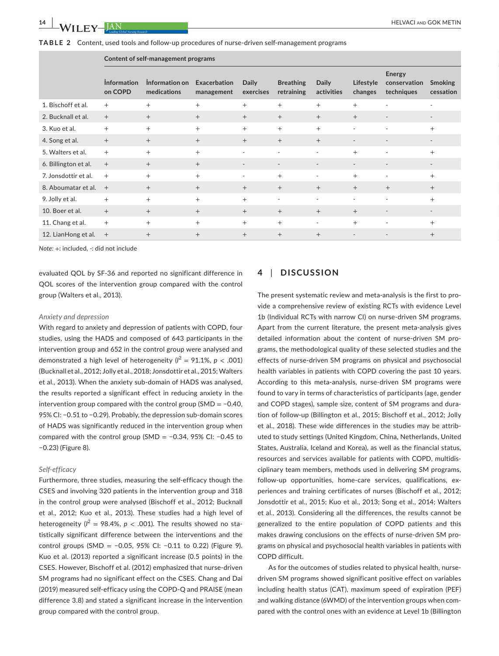**TABLE 2** Content, used tools and follow-up procedures of nurse-driven self-management programs

|                       |                               | Content of self-management programs        |            |                          |                                          |                          |                      |                                              |           |
|-----------------------|-------------------------------|--------------------------------------------|------------|--------------------------|------------------------------------------|--------------------------|----------------------|----------------------------------------------|-----------|
|                       | <b>Information</b><br>on COPD | Information on Exacerbation<br>medications | management | Daily                    | <b>Breathing</b><br>exercises retraining | Daily<br>activities      | Lifestyle<br>changes | Energy<br>conservation Smoking<br>techniques | cessation |
| 1. Bischoff et al.    | $+$                           | $+$                                        | $+$        |                          | $^{+}$                                   | $+$                      | $^{+}$               | $\sim$                                       | $\sim$    |
| 2. Bucknall et al.    | $+$                           | $+$                                        | $+$        | $+$                      | $+$                                      | $+$                      | $+$                  | $\sim$                                       | $\sim$    |
| 3. Kuo et al.         | $+$                           | $+$                                        | $^{+}$     |                          |                                          |                          |                      | $\sim$                                       | $^{+}$    |
| 4. Song et al.        | $+$                           | $+$                                        | $+$        | $+$                      | $+$                                      | $+$                      | $\overline{a}$       | $\sim$                                       | $\sim$    |
| 5. Walters et al.     | $+$                           | $\pm$                                      | $_{+}$     | $\overline{\phantom{a}}$ |                                          | $\sim$                   |                      | $\sim$                                       |           |
| 6. Billington et al.  | $- +$                         | $+$                                        | $+$        | $\sim$                   | $\overline{\phantom{a}}$                 | $\sim$                   | $\sim$               | $\sim$                                       | $\sim$    |
| 7. Jonsdottir et al.  | $+$                           | $+$                                        | $+$        | $\overline{\phantom{a}}$ |                                          | $\overline{\phantom{a}}$ | $^+$                 | $\sim$                                       | $\div$    |
| 8. Aboumatar et al. + |                               | $+$                                        | $+$        |                          |                                          | $^{+}$                   | $+$                  | $+$                                          | $+$       |
| 9. Jolly et al.       | $+$                           | $+$                                        | $^{+}$     | $\overline{+}$           | $\overline{\phantom{a}}$                 | $\overline{\phantom{a}}$ | $\sim$               | $\sim$                                       | $+$       |
| 10. Boer et al.       | $+$                           | $^{+}$                                     |            |                          |                                          | $^{+}$                   | $^{+}$               | $\sim$                                       | $\sim$    |
| 11. Chang et al.      | $+$                           | $+$                                        | $+$        | $+$                      | $^{+}$                                   | $\sim$                   | $^{+}$               | $\sim$                                       | $+$       |
| 12. LianHong et al.   | $^{+}$                        | $+$                                        | $^{+}$     | $+$                      | $+$                                      | $+$                      | $\overline{a}$       | $\sim$                                       | $+$       |

*Note:* +: included, -: did not include

evaluated QOL by SF-36 and reported no significant difference in QOL scores of the intervention group compared with the control group (Walters et al., 2013).

#### *Anxiety and depression*

With regard to anxiety and depression of patients with COPD, four studies, using the HADS and composed of 643 participants in the intervention group and 652 in the control group were analysed and demonstrated a high level of heterogeneity  $(l^2 = 91.1\%, p < .001)$ (Bucknall et al., 2012; Jolly et al., 2018; Jonsdottir et al., 2015; Walters et al., 2013). When the anxiety sub-domain of HADS was analysed, the results reported a significant effect in reducing anxiety in the intervention group compared with the control group (SMD = −0.40, 95% CI: −0.51 to −0.29). Probably, the depression sub-domain scores of HADS was significantly reduced in the intervention group when compared with the control group (SMD = −0.34, 95% CI: −0.45 to −0.23) (Figure 8).

#### *Self-efficacy*

Furthermore, three studies, measuring the self-efficacy though the CSES and involving 320 patients in the intervention group and 318 in the control group were analysed (Bischoff et al., 2012; Bucknall et al., 2012; Kuo et al., 2013). These studies had a high level of heterogeneity ( $l^2 = 98.4\%$ ,  $p < .001$ ). The results showed no statistically significant difference between the interventions and the control groups (SMD = −0.05, 95% CI: −0.11 to 0.22) (Figure 9). Kuo et al. (2013) reported a significant increase (0.5 points) in the CSES. However, Bischoff et al. (2012) emphasized that nurse-driven SM programs had no significant effect on the CSES. Chang and Dai (2019) measured self-efficacy using the COPD-Q and PRAISE (mean difference 3.8) and stated a significant increase in the intervention group compared with the control group.

# **4** | **DISCUSSION**

The present systematic review and meta-analysis is the first to provide a comprehensive review of existing RCTs with evidence Level 1b (Individual RCTs with narrow CI) on nurse-driven SM programs. Apart from the current literature, the present meta-analysis gives detailed information about the content of nurse-driven SM programs, the methodological quality of these selected studies and the effects of nurse-driven SM programs on physical and psychosocial health variables in patients with COPD covering the past 10 years. According to this meta-analysis, nurse-driven SM programs were found to vary in terms of characteristics of participants (age, gender and COPD stages), sample size, content of SM programs and duration of follow-up (Billington et al., 2015; Bischoff et al., 2012; Jolly et al., 2018). These wide differences in the studies may be attributed to study settings (United Kingdom, China, Netherlands, United States, Australia, Iceland and Korea), as well as the financial status, resources and services available for patients with COPD, multidisciplinary team members, methods used in delivering SM programs, follow-up opportunities, home-care services, qualifications, experiences and training certificates of nurses (Bischoff et al., 2012; Jonsdottir et al., 2015; Kuo et al., 2013; Song et al., 2014; Walters et al., 2013). Considering all the differences, the results cannot be generalized to the entire population of COPD patients and this makes drawing conclusions on the effects of nurse-driven SM programs on physical and psychosocial health variables in patients with COPD difficult.

As for the outcomes of studies related to physical health, nursedriven SM programs showed significant positive effect on variables including health status (CAT), maximum speed of expiration (PEF) and walking distance (6WMD) of the intervention groups when compared with the control ones with an evidence at Level 1b (Billington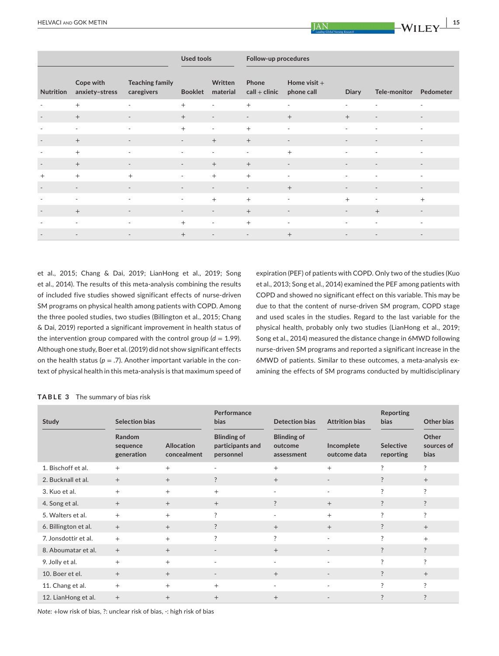|            |                                       |                                      | Used tools     |                             | Follow-up procedures |                                              |                          |                        |                |
|------------|---------------------------------------|--------------------------------------|----------------|-----------------------------|----------------------|----------------------------------------------|--------------------------|------------------------|----------------|
|            | Cope with<br>Nutrition anxiety-stress | <b>Teaching family</b><br>caregivers |                | Written<br>Booklet material | Phone                | Home visit $+$<br>$call + clinic$ phone call | Diary                    | Tele-monitor Pedometer |                |
| $+$        |                                       | $\sim$                               | $^{+}$         | $\sim$                      | $^{+}$               | $\sim$                                       | $\sim$                   | $\sim$                 | $\sim$ $-$     |
| $+$        |                                       | $\sim$ $ \sim$                       | $+$            | $\sim$                      | $\sim$               | $+$                                          | $+$ $-$                  | $\sim$ $ \sim$         | $\sim$ $ \sim$ |
| $\sim$ $-$ |                                       | $\sim$ $ \sim$                       | $+$            | $\sim$                      | $^{+}$               | $\sim$                                       | $\sim$                   | $\sim$ $ \sim$         | $\sim$ $ \sim$ |
| $+$        |                                       | $\sim$                               | $\sim$ $-$     | $+$                         | $+$                  | $\overline{\phantom{a}}$                     | $\overline{\phantom{a}}$ | $\sim$ $ \sim$         | $\sim$         |
| $+$        |                                       | $\sim$ $-$                           | $\sim$         | $\sim$                      | $\sim$ $-$           | $+$                                          | $\sim$                   | $\sim$ $ \sim$         | $\sim$         |
| $+$        |                                       | $\sim$ $-$                           | $\sim$         | $+$                         | $+$                  | $\sim$                                       | $\sim$ 100 $\mu$         | $\sim$ $ \sim$         | $\sim$ $ \sim$ |
| $+$        |                                       | $+$                                  | $\sim$         | $^{+}$                      | $+$                  | $\sim$                                       | $\sim$                   | $\sim$ $-$             | $\sim$ $-$     |
| $\sim$     |                                       | $\sim$ 100 $\pm$                     | <b>Service</b> | $\sim$                      | $\sim$ $-$           | $+$                                          | $\overline{\phantom{a}}$ | $\sim$                 | $\sim$         |
| $\sim$ $-$ |                                       | $\sim$                               | $\sim$         | $^{+}$                      | $+$                  | $\overline{\phantom{a}}$                     | $+$                      | $\sim$                 | $+$            |
| $+$        |                                       | $\sim$ $-$                           | $\sim 100$     | $\sim$ $ \sim$              | $+$                  | $\sim$ $-$                                   | $\sim$ 100 $\pm$         | $+$                    | $\sim$ $-$     |
| $\sim$     |                                       | $\sim$ $ \sim$                       | $+$            | $\sim$                      | $+$                  | $\sim$                                       | $\sim$                   | $\sim$ $ \sim$         | $\sim$ $ \sim$ |
| $\sim$ $-$ |                                       | $\sim$                               | $+$            | $\sim$                      | $\sim$               | $+$                                          | $\sim$                   | $\sim$ $ \sim$         | $\sim$         |

et al., 2015; Chang & Dai, 2019; LianHong et al., 2019; Song et al., 2014). The results of this meta-analysis combining the results of included five studies showed significant effects of nurse-driven SM programs on physical health among patients with COPD. Among the three pooled studies, two studies (Billington et al., 2015; Chang & Dai, 2019) reported a significant improvement in health status of the intervention group compared with the control group  $(d = 1.99)$ . Although one study, Boer et al. (2019) did not show significant effects on the health status ( $p = .7$ ). Another important variable in the context of physical health in this meta-analysis is that maximum speed of expiration (PEF) of patients with COPD. Only two of the studies (Kuo et al., 2013; Song et al., 2014) examined the PEF among patients with COPD and showed no significant effect on this variable. This may be due to that the content of nurse-driven SM program, COPD stage and used scales in the studies. Regard to the last variable for the physical health, probably only two studies (LianHong et al., 2019; Song et al., 2014) measured the distance change in 6MWD following nurse-driven SM programs and reported a significant increase in the 6MWD of patients. Similar to these outcomes, a meta-analysis examining the effects of SM programs conducted by multidisciplinary

#### **TABLE 3** The summary of bias risk

| Study                | Selection bias                   |                                  | Performance<br><b>bias</b>                          | <b>Detection bias</b>                       | <b>Attrition bias</b>      | Reporting<br><b>bias</b>      | Other bias                  |
|----------------------|----------------------------------|----------------------------------|-----------------------------------------------------|---------------------------------------------|----------------------------|-------------------------------|-----------------------------|
|                      | Random<br>sequence<br>generation | <b>Allocation</b><br>concealment | <b>Blinding of</b><br>participants and<br>personnel | <b>Blinding of</b><br>outcome<br>assessment | Incomplete<br>outcome data | <b>Selective</b><br>reporting | Other<br>sources of<br>bias |
| 1. Bischoff et al.   | $+$                              | $^{+}$                           | $\overline{\phantom{a}}$                            | $^{+}$                                      | $+$                        | ?                             | ?                           |
| 2. Bucknall et al.   | $+$                              | $+$                              | ?                                                   | $+$                                         | $\overline{\phantom{a}}$   | $\ddot{?}$                    | $^{+}$                      |
| 3. Kuo et al.        | $+$                              | $+$                              | $+$                                                 | ٠                                           | $\sim$                     | ?                             | ?                           |
| 4. Song et al.       | $+$                              | $+$                              | $+$                                                 | $\ddot{?}$                                  | $+$                        | $\ddot{?}$                    | ?                           |
| 5. Walters et al.    | $+$                              | $+$                              | ?                                                   | ٠                                           | $+$                        | ?                             | ?                           |
| 6. Billington et al. | $+$                              | $+$                              | $\ddot{?}$                                          | $+$                                         | $+$                        | $\ddot{?}$                    | $^{+}$                      |
| 7. Jonsdottir et al. | $+$                              | $+$                              | ?                                                   | ?                                           | ٠                          | ?                             | $^{+}$                      |
| 8. Aboumatar et al.  | $+$                              | $+$                              | $\overline{\phantom{a}}$                            | $+$                                         | $\overline{\phantom{a}}$   | $\ddot{?}$                    | $\ddot{?}$                  |
| 9. Jolly et al.      | $+$                              | $^{+}$                           | $\overline{\phantom{a}}$                            | ٠                                           | ٠                          | ?                             | ?                           |
| 10. Boer et el.      | $+$                              | $+$                              | $\overline{\phantom{a}}$                            | $+$                                         | $\overline{\phantom{a}}$   | $\ddot{?}$                    | $+$                         |
| 11. Chang et al.     | $+$                              | $+$                              | $^{+}$                                              | ٠                                           | $\overline{\phantom{a}}$   | ?                             | ?                           |
| 12. LianHong et al.  | $+$                              | $^{+}$                           | $^{+}$                                              | $^{+}$                                      |                            | ?                             | ?                           |

*Note:* +low risk of bias, ?: unclear risk of bias, -: high risk of bias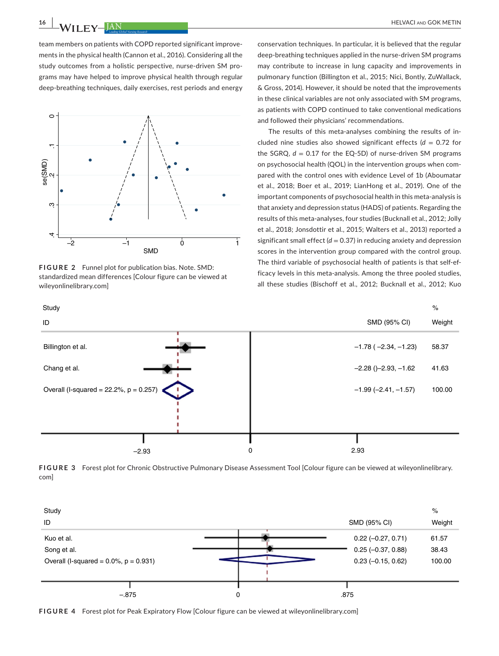team members on patients with COPD reported significant improvements in the physical health (Cannon et al., 2016). Considering all the study outcomes from a holistic perspective, nurse-driven SM programs may have helped to improve physical health through regular deep-breathing techniques, daily exercises, rest periods and energy



**FIGURE 2** Funnel plot for publication bias. Note. SMD: standardized mean differences [Colour figure can be viewed at [wileyonlinelibrary.com](www.wileyonlinelibrary.com)]

conservation techniques. In particular, it is believed that the regular deep-breathing techniques applied in the nurse-driven SM programs may contribute to increase in lung capacity and improvements in pulmonary function (Billington et al., 2015; Nici, Bontly, ZuWallack, & Gross, 2014). However, it should be noted that the improvements in these clinical variables are not only associated with SM programs, as patients with COPD continued to take conventional medications and followed their physicians' recommendations.

The results of this meta-analyses combining the results of included nine studies also showed significant effects (*d* = 0.72 for the SGRQ,  $d = 0.17$  for the EQ-5D) of nurse-driven SM programs on psychosocial health (QOL) in the intervention groups when compared with the control ones with evidence Level of 1b (Aboumatar et al., 2018; Boer et al., 2019; LianHong et al., 2019). One of the important components of psychosocial health in this meta-analysis is that anxiety and depression status (HADS) of patients. Regarding the results of this meta-analyses, four studies (Bucknall et al., 2012; Jolly et al., 2018; Jonsdottir et al., 2015; Walters et al., 2013) reported a significant small effect  $(d = 0.37)$  in reducing anxiety and depression scores in the intervention group compared with the control group. The third variable of psychosocial health of patients is that self-efficacy levels in this meta-analysis. Among the three pooled studies, all these studies (Bischoff et al., 2012; Bucknall et al., 2012; Kuo



**FIGURE 3** Forest plot for Chronic Obstructive Pulmonary Disease Assessment Tool [Colour figure can be viewed at [wileyonlinelibrary.](www.wileyonlinelibrary.com) [com](www.wileyonlinelibrary.com)]



**FIGURE 4** Forest plot for Peak Expiratory Flow [Colour figure can be viewed at [wileyonlinelibrary.com](www.wileyonlinelibrary.com)]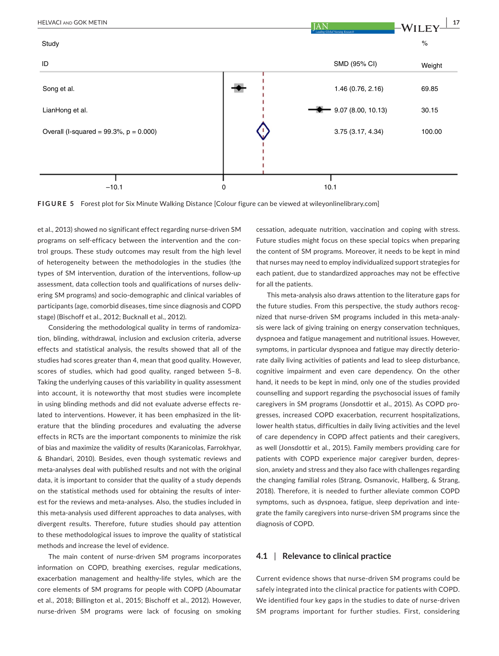

**FIGURE 5** Forest plot for Six Minute Walking Distance [Colour figure can be viewed at [wileyonlinelibrary.com](www.wileyonlinelibrary.com)]

et al., 2013) showed no significant effect regarding nurse-driven SM programs on self-efficacy between the intervention and the control groups. These study outcomes may result from the high level of heterogeneity between the methodologies in the studies (the types of SM intervention, duration of the interventions, follow-up assessment, data collection tools and qualifications of nurses delivering SM programs) and socio-demographic and clinical variables of participants (age, comorbid diseases, time since diagnosis and COPD stage) (Bischoff et al., 2012; Bucknall et al., 2012).

Considering the methodological quality in terms of randomization, blinding, withdrawal, inclusion and exclusion criteria, adverse effects and statistical analysis, the results showed that all of the studies had scores greater than 4, mean that good quality. However, scores of studies, which had good quality, ranged between 5–8. Taking the underlying causes of this variability in quality assessment into account, it is noteworthy that most studies were incomplete in using blinding methods and did not evaluate adverse effects related to interventions. However, it has been emphasized in the literature that the blinding procedures and evaluating the adverse effects in RCTs are the important components to minimize the risk of bias and maximize the validity of results (Karanicolas, Farrokhyar, & Bhandari, 2010). Besides, even though systematic reviews and meta-analyses deal with published results and not with the original data, it is important to consider that the quality of a study depends on the statistical methods used for obtaining the results of interest for the reviews and meta-analyses. Also, the studies included in this meta-analysis used different approaches to data analyses, with divergent results. Therefore, future studies should pay attention to these methodological issues to improve the quality of statistical methods and increase the level of evidence.

The main content of nurse-driven SM programs incorporates information on COPD, breathing exercises, regular medications, exacerbation management and healthy-life styles, which are the core elements of SM programs for people with COPD (Aboumatar et al., 2018; Billington et al., 2015; Bischoff et al., 2012). However, nurse-driven SM programs were lack of focusing on smoking

cessation, adequate nutrition, vaccination and coping with stress. Future studies might focus on these special topics when preparing the content of SM programs. Moreover, it needs to be kept in mind that nurses may need to employ individualized support strategies for each patient, due to standardized approaches may not be effective for all the patients.

This meta-analysis also draws attention to the literature gaps for the future studies. From this perspective, the study authors recognized that nurse-driven SM programs included in this meta-analysis were lack of giving training on energy conservation techniques, dyspnoea and fatigue management and nutritional issues. However, symptoms, in particular dyspnoea and fatigue may directly deteriorate daily living activities of patients and lead to sleep disturbance, cognitive impairment and even care dependency. On the other hand, it needs to be kept in mind, only one of the studies provided counselling and support regarding the psychosocial issues of family caregivers in SM programs (Jonsdottir et al., 2015). As COPD progresses, increased COPD exacerbation, recurrent hospitalizations, lower health status, difficulties in daily living activities and the level of care dependency in COPD affect patients and their caregivers, as well (Jonsdottir et al., 2015). Family members providing care for patients with COPD experience major caregiver burden, depression, anxiety and stress and they also face with challenges regarding the changing familial roles (Strang, Osmanovic, Hallberg, & Strang, 2018). Therefore, it is needed to further alleviate common COPD symptoms, such as dyspnoea, fatigue, sleep deprivation and integrate the family caregivers into nurse-driven SM programs since the diagnosis of COPD.

# **4.1** | **Relevance to clinical practice**

Current evidence shows that nurse-driven SM programs could be safely integrated into the clinical practice for patients with COPD. We identified four key gaps in the studies to date of nurse-driven SM programs important for further studies. First, considering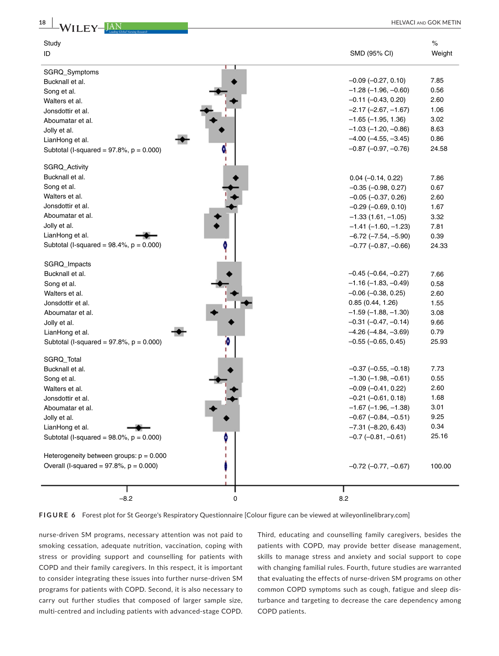

**FIGURE 6** Forest plot for St George's Respiratory Questionnaire [Colour figure can be viewed at [wileyonlinelibrary.com\]](www.wileyonlinelibrary.com)  $-8.2$  0 8.2

Overall (I-squared = 97.8%, p = 0.000) –0.72 (–0.77, –0.67)

nurse-driven SM programs, necessary attention was not paid to smoking cessation, adequate nutrition, vaccination, coping with stress or providing support and counselling for patients with COPD and their family caregivers. In this respect, it is important to consider integrating these issues into further nurse-driven SM programs for patients with COPD. Second, it is also necessary to carry out further studies that composed of larger sample size, multi-centred and including patients with advanced-stage COPD.

Third, educating and counselling family caregivers, besides the patients with COPD, may provide better disease management, skills to manage stress and anxiety and social support to cope with changing familial rules. Fourth, future studies are warranted that evaluating the effects of nurse-driven SM programs on other common COPD symptoms such as cough, fatigue and sleep disturbance and targeting to decrease the care dependency among COPD patients.

100.00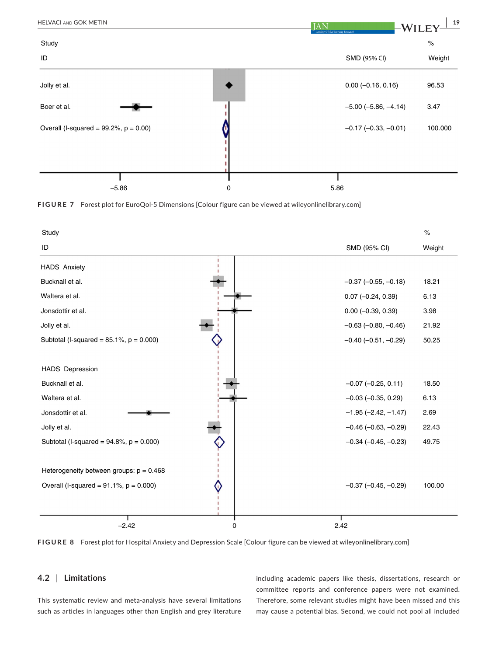







# **4.2** | **Limitations**

This systematic review and meta-analysis have several limitations such as articles in languages other than English and grey literature

including academic papers like thesis, dissertations, research or committee reports and conference papers were not examined. Therefore, some relevant studies might have been missed and this may cause a potential bias. Second, we could not pool all included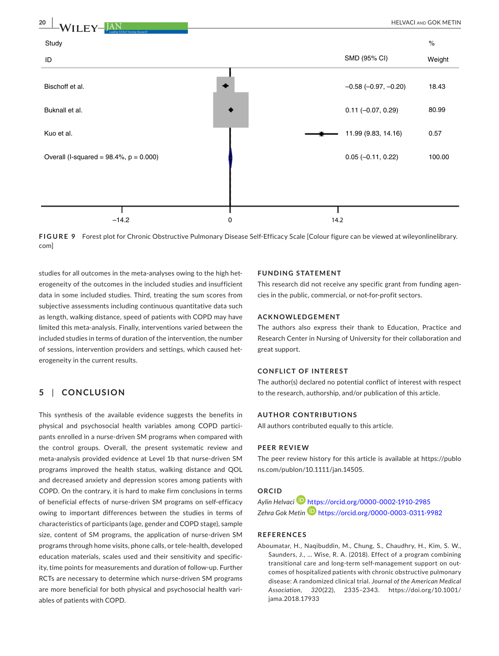

**FIGURE 9** Forest plot for Chronic Obstructive Pulmonary Disease Self-Efficacy Scale [Colour figure can be viewed at [wileyonlinelibrary.](www.wileyonlinelibrary.com) [com](www.wileyonlinelibrary.com)]

studies for all outcomes in the meta-analyses owing to the high heterogeneity of the outcomes in the included studies and insufficient data in some included studies. Third, treating the sum scores from subjective assessments including continuous quantitative data such as length, walking distance, speed of patients with COPD may have limited this meta-analysis. Finally, interventions varied between the included studies in terms of duration of the intervention, the number of sessions, intervention providers and settings, which caused heterogeneity in the current results.

# **5** | **CONCLUSION**

This synthesis of the available evidence suggests the benefits in physical and psychosocial health variables among COPD participants enrolled in a nurse-driven SM programs when compared with the control groups. Overall, the present systematic review and meta-analysis provided evidence at Level 1b that nurse-driven SM programs improved the health status, walking distance and QOL and decreased anxiety and depression scores among patients with COPD. On the contrary, it is hard to make firm conclusions in terms of beneficial effects of nurse-driven SM programs on self-efficacy owing to important differences between the studies in terms of characteristics of participants (age, gender and COPD stage), sample size, content of SM programs, the application of nurse-driven SM programs through home visits, phone calls, or tele-health, developed education materials, scales used and their sensitivity and specificity, time points for measurements and duration of follow-up. Further RCTs are necessary to determine which nurse-driven SM programs are more beneficial for both physical and psychosocial health variables of patients with COPD.

#### **FUNDING STATEMENT**

This research did not receive any specific grant from funding agencies in the public, commercial, or not-for-profit sectors.

#### **ACKNOWLEDGEMENT**

The authors also express their thank to Education, Practice and Research Center in Nursing of University for their collaboration and great support.

#### **CONFLICT OF INTEREST**

The author(s) declared no potential conflict of interest with respect to the research, authorship, and/or publication of this article.

#### **AUTHOR CONTRIBUTIONS**

All authors contributed equally to this article.

#### **PEER REVIEW**

The peer review history for this article is available at [https://publo](https://publons.com/publon/10.1111/jan.14505) [ns.com/publon/10.1111/jan.14505.](https://publons.com/publon/10.1111/jan.14505)

# **ORCID**

*Aylin Helvaci* <https://orcid.org/0000-0002-1910-2985> *Zehra Gok Metin* <https://orcid.org/0000-0003-0311-9982>

# **REFERENCES**

Aboumatar, H., Naqibuddin, M., Chung, S., Chaudhry, H., Kim, S. W., Saunders, J., … Wise, R. A. (2018). Effect of a program combining transitional care and long-term self-management support on outcomes of hospitalized patients with chronic obstructive pulmonary disease: A randomized clinical trial. *Journal of the American Medical Association*, *320*(22), 2335–2343. [https://doi.org/10.1001/](https://doi.org/10.1001/jama.2018.17933) [jama.2018.17933](https://doi.org/10.1001/jama.2018.17933)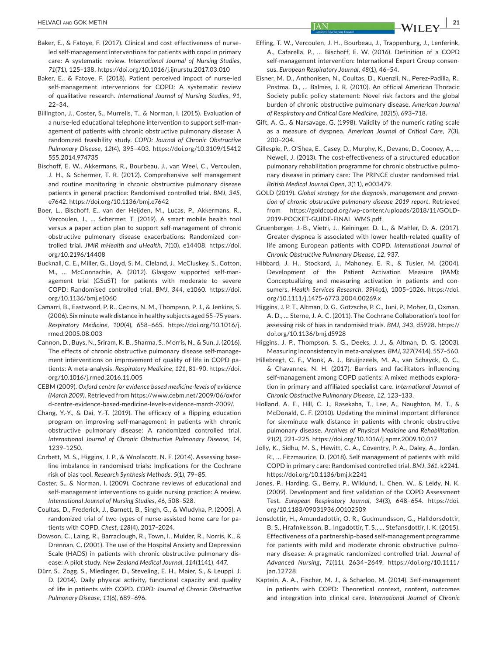- Baker, E., & Fatoye, F. (2017). Clinical and cost effectiveness of nurseled self-management interventions for patients with copd in primary care: A systematic review. *International Journal of Nursing Studies*, *71*(71), 125–138.<https://doi.org/10.1016/j.ijnurstu.2017.03.010>
- Baker, E., & Fatoye, F. (2018). Patient perceived impact of nurse-led self-management interventions for COPD: A systematic review of qualitative research. *International Journal of Nursing Studies*, *91*, 22–34.
- Billington, J., Coster, S., Murrells, T., & Norman, I. (2015). Evaluation of a nurse-led educational telephone intervention to support self-management of patients with chronic obstructive pulmonary disease: A randomized feasibility study. *COPD: Journal of Chronic Obstructive Pulmonary Disease*, *12*(4), 395–403. [https://doi.org/10.3109/15412](https://doi.org/10.3109/15412555.2014.974735) [555.2014.974735](https://doi.org/10.3109/15412555.2014.974735)
- Bischoff, E. W., Akkermans, R., Bourbeau, J., van Weel, C., Vercoulen, J. H., & Schermer, T. R. (2012). Comprehensive self management and routine monitoring in chronic obstructive pulmonary disease patients in general practice: Randomised controlled trial. *BMJ*, *345*, e7642. <https://doi.org/10.1136/bmj.e7642>
- Boer, L., Bischoff, E., van der Heijden, M., Lucas, P., Akkermans, R., Vercoulen, J., … Schermer, T. (2019). A smart mobile health tool versus a paper action plan to support self-management of chronic obstructive pulmonary disease exacerbations: Randomized controlled trial. *JMIR mHealth and uHealth*, *7*(10), e14408. [https://doi.](https://doi.org/10.2196/14408) [org/10.2196/14408](https://doi.org/10.2196/14408)
- Bucknall, C. E., Miller, G., Lloyd, S. M., Cleland, J., McCluskey, S., Cotton, M., … McConnachie, A. (2012). Glasgow supported self-management trial (GSuST) for patients with moderate to severe COPD: Randomised controlled trial. *BMJ*, *344*, e1060. [https://doi.](https://doi.org/10.1136/bmj.e1060) [org/10.1136/bmj.e1060](https://doi.org/10.1136/bmj.e1060)
- Camarri, B., Eastwood, P. R., Cecins, N. M., Thompson, P. J., & Jenkins, S. (2006). Six minute walk distance in healthy subjects aged 55–75 years. *Respiratory Medicine*, *100*(4), 658–665. [https://doi.org/10.1016/j.](https://doi.org/10.1016/j.rmed.2005.08.003) [rmed.2005.08.003](https://doi.org/10.1016/j.rmed.2005.08.003)
- Cannon, D., Buys, N., Sriram, K. B., Sharma, S., Morris, N., & Sun, J. (2016). The effects of chronic obstructive pulmonary disease self-management interventions on improvement of quality of life in COPD patients: A meta-analysis. *Respiratory Medicine*, *121*, 81–90. [https://doi.](https://doi.org/10.1016/j.rmed.2016.11.005) [org/10.1016/j.rmed.2016.11.005](https://doi.org/10.1016/j.rmed.2016.11.005)
- CEBM (2009). *Oxford centre for evidence based medicine-levels of evidence (March 2009)*. Retrieved from [https://www.cebm.net/2009/06/oxfor](https://www.cebm.net/2009/06/oxford-centre-evidence-based-medicine-levels-evidence-march-2009/) [d-centre-evidence-based-medicine-levels-evidence-march-2009/.](https://www.cebm.net/2009/06/oxford-centre-evidence-based-medicine-levels-evidence-march-2009/)
- Chang, Y.-Y., & Dai, Y.-T. (2019). The efficacy of a flipping education program on improving self-management in patients with chronic obstructive pulmonary disease: A randomized controlled trial. *International Journal of Chronic Obstructive Pulmonary Disease*, *14*, 1239–1250.
- Corbett, M. S., Higgins, J. P., & Woolacott, N. F. (2014). Assessing baseline imbalance in randomised trials: Implications for the Cochrane risk of bias tool. *Research Synthesis Methods*, *5*(1), 79–85.
- Coster, S., & Norman, I. (2009). Cochrane reviews of educational and self-management interventions to guide nursing practice: A review. *International Journal of Nursing Studies*, *46*, 508–528.
- Coultas, D., Frederick, J., Barnett, B., Singh, G., & Wludyka, P. (2005). A randomized trial of two types of nurse-assisted home care for patients with COPD. *Chest*, *128*(4), 2017–2024.
- Dowson, C., Laing, R., Barraclough, R., Town, I., Mulder, R., Norris, K., & Drennan, C. (2001). The use of the Hospital Anxiety and Depression Scale (HADS) in patients with chronic obstructive pulmonary disease: A pilot study. *New Zealand Medical Journal*, *114*(1141), 447.
- Dürr, S., Zogg, S., Miedinger, D., Steveling, E. H., Maier, S., & Leuppi, J. D. (2014). Daily physical activity, functional capacity and quality of life in patients with COPD. *COPD: Journal of Chronic Obstructive Pulmonary Disease*, *11*(6), 689–696.
- Effing, T. W., Vercoulen, J. H., Bourbeau, J., Trappenburg, J., Lenferink, A., Cafarella, P., … Bischoff, E. W. (2016). Definition of a COPD self-management intervention: International Expert Group consensus. *European Respiratory Journal*, *48*(1), 46–54.
- Eisner, M. D., Anthonisen, N., Coultas, D., Kuenzli, N., Perez-Padilla, R., Postma, D., … Balmes, J. R. (2010). An official American Thoracic Society public policy statement: Novel risk factors and the global burden of chronic obstructive pulmonary disease. *American Journal of Respiratory and Critical Care Medicine*, *182*(5), 693–718.
- Gift, A. G., & Narsavage, G. (1998). Validity of the numeric rating scale as a measure of dyspnea. *American Journal of Critical Care*, *7*(3), 200–204.
- Gillespie, P., O'Shea, E., Casey, D., Murphy, K., Devane, D., Cooney, A., … Newell, J. (2013). The cost-effectiveness of a structured education pulmonary rehabilitation programme for chronic obstructive pulmonary disease in primary care: The PRINCE cluster randomised trial. *British Medical Journal Open*, *3*(11), e003479.
- GOLD (2019). *Global strategy for the diagnosis, management and prevention of chronic obstructive pulmonary disease 2019 report*. Retrieved from [https://goldcopd.org/wp-content/uploads/2018/11/GOLD-](https://goldcopd.org/wp-content/uploads/2018/11/GOLD-2019-POCKET-GUIDE-FINAL_WMS.pdf)[2019-POCKET-GUIDE-FINAL\\_WMS.pdf](https://goldcopd.org/wp-content/uploads/2018/11/GOLD-2019-POCKET-GUIDE-FINAL_WMS.pdf).
- Gruenberger, J.-B., Vietri, J., Keininger, D. L., & Mahler, D. A. (2017). Greater dyspnea is associated with lower health-related quality of life among European patients with COPD. *International Journal of Chronic Obstructive Pulmonary Disease*, *12*, 937.
- Hibbard, J. H., Stockard, J., Mahoney, E. R., & Tusler, M. (2004). Development of the Patient Activation Measure (PAM): Conceptualizing and measuring activation in patients and consumers. *Health Services Research*, *39*(4p1), 1005–1026. [https://doi.](https://doi.org/10.1111/j.1475-6773.2004.00269.x) [org/10.1111/j.1475-6773.2004.00269.x](https://doi.org/10.1111/j.1475-6773.2004.00269.x)
- Higgins, J. P. T., Altman, D. G., Gotzsche, P. C., Juni, P., Moher, D., Oxman, A. D., … Sterne, J. A. C. (2011). The Cochrane Collaboration's tool for assessing risk of bias in randomised trials. *BMJ*, *343*, d5928. [https://](https://doi.org/10.1136/bmj.d5928) [doi.org/10.1136/bmj.d5928](https://doi.org/10.1136/bmj.d5928)
- Higgins, J. P., Thompson, S. G., Deeks, J. J., & Altman, D. G. (2003). Measuring Inconsistency in meta-analyses. *BMJ*, *327*(7414), 557–560.
- Hillebregt, C. F., Vlonk, A. J., Bruijnzeels, M. A., van Schayck, O. C., & Chavannes, N. H. (2017). Barriers and facilitators influencing self-management among COPD patients: A mixed methods exploration in primary and affiliated specialist care. *International Journal of Chronic Obstructive Pulmonary Disease*, *12*, 123–133.
- Holland, A. E., Hill, C. J., Rasekaba, T., Lee, A., Naughton, M. T., & McDonald, C. F. (2010). Updating the minimal important difference for six-minute walk distance in patients with chronic obstructive pulmonary disease. *Archives of Physical Medicine and Rehabilitation*, *91*(2), 221–225. <https://doi.org/10.1016/j.apmr.2009.10.017>
- Jolly, K., Sidhu, M. S., Hewitt, C. A., Coventry, P. A., Daley, A., Jordan, R., … Fitzmaurice, D. (2018). Self management of patients with mild COPD in primary care: Randomised controlled trial. *BMJ*, *361*, k2241. <https://doi.org/10.1136/bmj.k2241>
- Jones, P., Harding, G., Berry, P., Wiklund, I., Chen, W., & Leidy, N. K. (2009). Development and first validation of the COPD Assessment Test. *European Respiratory Journal*, *34*(3), 648–654. [https://doi.](https://doi.org/10.1183/09031936.00102509) [org/10.1183/09031936.00102509](https://doi.org/10.1183/09031936.00102509)
- Jonsdottir, H., Amundadottir, O. R., Gudmundsson, G., Halldorsdottir, B. S., Hrafnkelsson, B., Ingadottir, T. S., … Stefansdottir, I. K. (2015). Effectiveness of a partnership-based self-management programme for patients with mild and moderate chronic obstructive pulmonary disease: A pragmatic randomized controlled trial. *Journal of Advanced Nursing*, *71*(11), 2634–2649. [https://doi.org/10.1111/](https://doi.org/10.1111/jan.12728) [jan.12728](https://doi.org/10.1111/jan.12728)
- Kaptein, A. A., Fischer, M. J., & Scharloo, M. (2014). Self-management in patients with COPD: Theoretical context, content, outcomes and integration into clinical care. *International Journal of Chronic*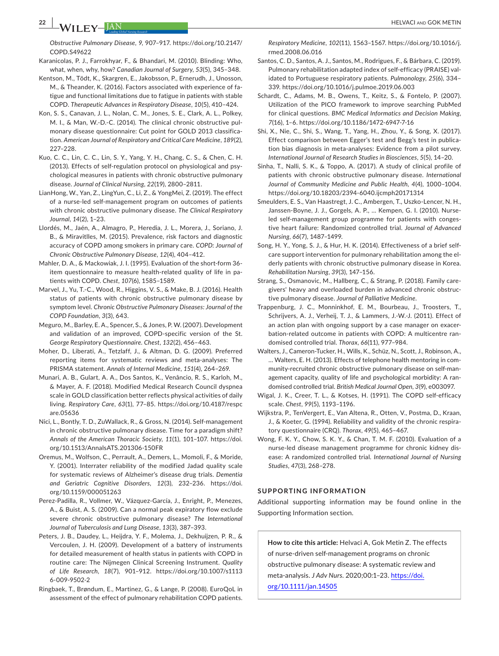*Obstructive Pulmonary Disease*, *9*, 907–917. [https://doi.org/10.2147/](https://doi.org/10.2147/COPD.S49622) [COPD.S49622](https://doi.org/10.2147/COPD.S49622)

- Karanicolas, P. J., Farrokhyar, F., & Bhandari, M. (2010). Blinding: Who, what, when, why, how? *Canadian Journal of Surgery*, *53*(5), 345–348.
- Kentson, M., Tödt, K., Skargren, E., Jakobsson, P., Ernerudh, J., Unosson, M., & Theander, K. (2016). Factors associated with experience of fatigue and functional limitations due to fatigue in patients with stable COPD. *Therapeutic Advances in Respiratory Disease*, *10*(5), 410–424.
- Kon, S. S., Canavan, J. L., Nolan, C. M., Jones, S. E., Clark, A. L., Polkey, M. I., & Man, W.-D.-C. (2014). The clinical chronic obstructive pulmonary disease questionnaire: Cut point for GOLD 2013 classification. *American Journal of Respiratory and Critical Care Medicine*, *189*(2), 227–228.
- Kuo, C. C., Lin, C. C., Lin, S. Y., Yang, Y. H., Chang, C. S., & Chen, C. H. (2013). Effects of self-regulation protocol on physiological and psychological measures in patients with chronic obstructive pulmonary disease. *Journal of Clinical Nursing*, *22*(19), 2800–2811.
- LianHong, W., Yan, Z., LingYun, C., Li, Z., & YongMei, Z. (2019). The effect of a nurse-led self-management program on outcomes of patients with chronic obstructive pulmonary disease. *The Clinical Respiratory Journal*, *14*(2), 1–23.
- Llordés, M., Jaén, A., Almagro, P., Heredia, J. L., Morera, J., Soriano, J. B., & Miravitlles, M. (2015). Prevalence, risk factors and diagnostic accuracy of COPD among smokers in primary care. *COPD: Journal of Chronic Obstructive Pulmonary Disease*, *12*(4), 404–412.
- Mahler, D. A., & Mackowiak, J. I. (1995). Evaluation of the short-form 36 item questionnaire to measure health-related quality of life in patients with COPD. *Chest*, *107*(6), 1585–1589.
- Marvel, J., Yu, T.-C., Wood, R., Higgins, V. S., & Make, B. J. (2016). Health status of patients with chronic obstructive pulmonary disease by symptom level. *Chronic Obstructive Pulmonary Diseases: Journal of the COPD Foundation*, *3*(3), 643.
- Meguro, M., Barley, E. A., Spencer, S., & Jones, P. W. (2007). Development and validation of an improved, COPD-specific version of the St. *George Respiratory Questionnaire. Chest*, *132*(2), 456–463.
- Moher, D., Liberati, A., Tetzlaff, J., & Altman, D. G. (2009). Preferred reporting items for systematic reviews and meta-analyses: The PRISMA statement. *Annals of Internal Medicine*, *151*(4), 264–269.
- Munari, A. B., Gulart, A. A., Dos Santos, K., Venâncio, R. S., Karloh, M., & Mayer, A. F. (2018). Modified Medical Research Council dyspnea scale in GOLD classification better reflects physical activities of daily living. *Respiratory Care*, *63*(1), 77–85. [https://doi.org/10.4187/respc](https://doi.org/10.4187/respcare.05636) [are.05636](https://doi.org/10.4187/respcare.05636)
- Nici, L., Bontly, T. D., ZuWallack, R., & Gross, N. (2014). Self-management in chronic obstructive pulmonary disease. Time for a paradigm shift? *Annals of the American Thoracic Society*, *11*(1), 101–107. [https://doi.](https://doi.org/10.1513/AnnalsATS.201306-150FR) [org/10.1513/AnnalsATS.201306-150FR](https://doi.org/10.1513/AnnalsATS.201306-150FR)
- Oremus, M., Wolfson, C., Perrault, A., Demers, L., Momoli, F., & Moride, Y. (2001). Interrater reliability of the modified Jadad quality scale for systematic reviews of Alzheimer's disease drug trials. *Dementia and Geriatric Cognitive Disorders*, *12*(3), 232–236. [https://doi.](https://doi.org/10.1159/000051263) [org/10.1159/000051263](https://doi.org/10.1159/000051263)
- Perez-Padilla, R., Vollmer, W., Vázquez-García, J., Enright, P., Menezes, A., & Buist, A. S. (2009). Can a normal peak expiratory flow exclude severe chronic obstructive pulmonary disease? *The International Journal of Tuberculosis and Lung Disease*, *13*(3), 387–393.
- Peters, J. B., Daudey, L., Heijdra, Y. F., Molema, J., Dekhuijzen, P. R., & Vercoulen, J. H. (2009). Development of a battery of instruments for detailed measurement of health status in patients with COPD in routine care: The Nijmegen Clinical Screening Instrument. *Quality of Life Research*, *18*(7), 901–912. [https://doi.org/10.1007/s1113](https://doi.org/10.1007/s11136-009-9502-2) [6-009-9502-2](https://doi.org/10.1007/s11136-009-9502-2)
- Ringbaek, T., Brøndum, E., Martinez, G., & Lange, P. (2008). EuroQoL in assessment of the effect of pulmonary rehabilitation COPD patients.

*Respiratory Medicine*, *102*(11), 1563–1567. [https://doi.org/10.1016/j.](https://doi.org/10.1016/j.rmed.2008.06.016) [rmed.2008.06.016](https://doi.org/10.1016/j.rmed.2008.06.016)

- Santos, C. D., Santos, A. J., Santos, M., Rodrigues, F., & Bárbara, C. (2019). Pulmonary rehabilitation adapted index of self-efficacy (PRAISE) validated to Portuguese respiratory patients. *Pulmonology*, *25*(6), 334– 339. <https://doi.org/10.1016/j.pulmoe.2019.06.003>
- Schardt, C., Adams, M. B., Owens, T., Keitz, S., & Fontelo, P. (2007). Utilization of the PICO framework to improve searching PubMed for clinical questions. *BMC Medical Informatics and Decision Making*, *7*(16), 1–6.<https://doi.org/10.1186/1472-6947-7-16>
- Shi, X., Nie, C., Shi, S., Wang, T., Yang, H., Zhou, Y., & Song, X. (2017). Effect comparison between Egger's test and Begg's test in publication bias diagnosis in meta-analyses: Evidence from a pilot survey. *International Journal of Research Studies in Biosciences*, *5*(5), 14–20.
- Sinha, T., Nalli, S. K., & Toppo, A. (2017). A study of clinical profile of patients with chronic obstructive pulmonary disease. *International Journal of Community Medicine and Public Health*, *4*(4), 1000–1004. <https://doi.org/10.18203/2394-6040.ijcmph20171314>
- Smeulders, E. S., Van Haastregt, J. C., Ambergen, T., Uszko-Lencer, N. H., Janssen-Boyne, J. J., Gorgels, A. P., … Kempen, G. I. (2010). Nurseled self-management group programme for patients with congestive heart failure: Randomized controlled trial. *Journal of Advanced Nursing*, *66*(7), 1487–1499.
- Song, H. Y., Yong, S. J., & Hur, H. K. (2014). Effectiveness of a brief selfcare support intervention for pulmonary rehabilitation among the elderly patients with chronic obstructive pulmonary disease in Korea. *Rehabilitation Nursing*, *39*(3), 147–156.
- Strang, S., Osmanovic, M., Hallberg, C., & Strang, P. (2018). Family caregivers' heavy and overloaded burden in advanced chronic obstructive pulmonary disease. *Journal of Palliative Medicine*.
- Trappenburg, J. C., Monninkhof, E. M., Bourbeau, J., Troosters, T., Schrijvers, A. J., Verheij, T. J., & Lammers, J.-W.-J. (2011). Effect of an action plan with ongoing support by a case manager on exacerbation-related outcome in patients with COPD: A multicentre randomised controlled trial. *Thorax*, *66*(11), 977–984.
- Walters, J., Cameron-Tucker, H., Wills, K., Schüz, N., Scott, J., Robinson, A., … Walters, E. H. (2013). Effects of telephone health mentoring in community-recruited chronic obstructive pulmonary disease on self-management capacity, quality of life and psychological morbidity: A randomised controlled trial. *British Medical Journal Open*, *3*(9), e003097.
- Wigal, J. K., Creer, T. L., & Kotses, H. (1991). The COPD self-efficacy scale. *Chest*, *99*(5), 1193–1196.
- Wijkstra, P., TenVergert, E., Van Altena, R., Otten, V., Postma, D., Kraan, J., & Koeter, G. (1994). Reliability and validity of the chronic respiratory questionnaire (CRQ). *Thorax*, *49*(5), 465–467.
- Wong, F. K. Y., Chow, S. K. Y., & Chan, T. M. F. (2010). Evaluation of a nurse-led disease management programme for chronic kidney disease: A randomized controlled trial. *International Journal of Nursing Studies*, *47*(3), 268–278.

#### **SUPPORTING INFORMATION**

Additional supporting information may be found online in the Supporting Information section.

**How to cite this article:** Helvaci A, Gok Metin Z. The effects of nurse-driven self-management programs on chronic obstructive pulmonary disease: A systematic review and meta-analysis. *J Adv Nurs*. 2020;00:1–23. [https://doi.](https://doi.org/10.1111/jan.14505) [org/10.1111/jan.14505](https://doi.org/10.1111/jan.14505)